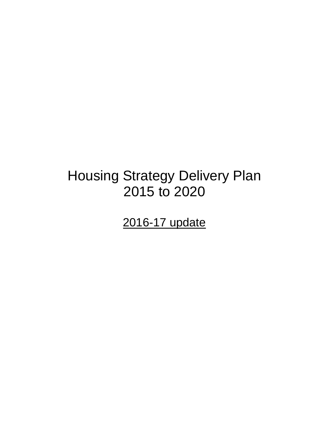# Housing Strategy Delivery Plan 2015 to 2020

2016-17 update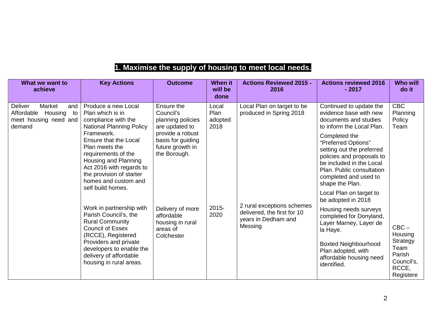# **1. Maximise the supply of housing to meet local needs.**

| What we want to<br>achieve                                                                 | <b>Key Actions</b>                                                                                                                                                                                               | <b>Outcome</b>                                                                                                                              | <b>When it</b><br>will be<br>done                 | <b>Actions Reviewed 2015 -</b><br>2016                                                      | <b>Actions reviewed 2016</b><br>$-2017$                                                                                                                                                             | <b>Who will</b><br>do it                                       |
|--------------------------------------------------------------------------------------------|------------------------------------------------------------------------------------------------------------------------------------------------------------------------------------------------------------------|---------------------------------------------------------------------------------------------------------------------------------------------|---------------------------------------------------|---------------------------------------------------------------------------------------------|-----------------------------------------------------------------------------------------------------------------------------------------------------------------------------------------------------|----------------------------------------------------------------|
| Deliver<br>Market<br>and<br>Housing<br>Affordable<br>to<br>meet housing need and<br>demand | Produce a new Local<br>Plan which is in<br>compliance with the<br><b>National Planning Policy</b>                                                                                                                | Ensure the<br>Council's<br>planning policies<br>are updated to<br>provide a robust<br>basis for guiding<br>future growth in<br>the Borough. | Local<br>Plan<br>adopted<br>2018<br>2015-<br>2020 | Local Plan on target to be<br>produced in Spring 2018                                       | Continued to update the<br>evidence base with new<br>documents and studies<br>to inform the Local Plan.                                                                                             | <b>CBC</b><br>Planning<br>Policy<br>Team                       |
|                                                                                            | Framework.<br><b>Ensure that the Local</b><br>Plan meets the<br>requirements of the<br>Housing and Planning<br>Act 2016 with regards to<br>the provision of starter<br>homes and custom and<br>self build homes. |                                                                                                                                             |                                                   |                                                                                             | Completed the<br>"Preferred Options"<br>setting out the preferred<br>policies and proposals to<br>be included in the Local<br>Plan. Public consultation<br>completed and used to<br>shape the Plan. |                                                                |
|                                                                                            |                                                                                                                                                                                                                  |                                                                                                                                             |                                                   |                                                                                             | Local Plan on target to<br>be adopted in 2018                                                                                                                                                       |                                                                |
|                                                                                            | Work in partnership with<br>Parish Council's, the<br><b>Rural Community</b><br><b>Council of Essex</b><br>(RCCE), Registered                                                                                     | Delivery of more<br>affordable<br>housing in rural<br>areas of<br>Colchester                                                                |                                                   | 2 rural exceptions schemes<br>delivered, the first for 10<br>years in Dedham and<br>Messing | Housing needs surveys<br>completed for Donyland,<br>Layer Marney, Layer de<br>la Haye.                                                                                                              | $CBC -$<br>Housing                                             |
|                                                                                            | Providers and private<br>developers to enable the<br>delivery of affordable<br>housing in rural areas.                                                                                                           |                                                                                                                                             |                                                   |                                                                                             | <b>Boxted Neighbourhood</b><br>Plan adopted, with<br>affordable housing need<br>identified.                                                                                                         | Strategy<br>Team<br>Parish<br>Council's,<br>RCCE,<br>Registere |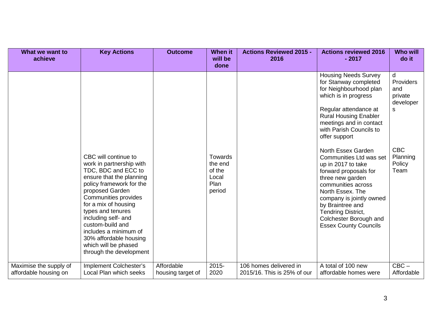| What we want to<br>achieve                      | <b>Key Actions</b>                                                                                                                                                                                                                                                                                                                                                       | <b>Outcome</b>                  | When it<br>will be<br>done                                     | <b>Actions Reviewed 2015 -</b><br>2016                | <b>Actions reviewed 2016</b><br>$-2017$                                                                                                                                                                                                                                                                                                                                                                                                                                                                                                            | <b>Who will</b><br>do it                                                                       |
|-------------------------------------------------|--------------------------------------------------------------------------------------------------------------------------------------------------------------------------------------------------------------------------------------------------------------------------------------------------------------------------------------------------------------------------|---------------------------------|----------------------------------------------------------------|-------------------------------------------------------|----------------------------------------------------------------------------------------------------------------------------------------------------------------------------------------------------------------------------------------------------------------------------------------------------------------------------------------------------------------------------------------------------------------------------------------------------------------------------------------------------------------------------------------------------|------------------------------------------------------------------------------------------------|
|                                                 | CBC will continue to<br>work in partnership with<br>TDC, BDC and ECC to<br>ensure that the planning<br>policy framework for the<br>proposed Garden<br>Communities provides<br>for a mix of housing<br>types and tenures<br>including self- and<br>custom-build and<br>includes a minimum of<br>30% affordable housing<br>which will be phased<br>through the development |                                 | <b>Towards</b><br>the end<br>of the<br>Local<br>Plan<br>period |                                                       | <b>Housing Needs Survey</b><br>for Stanway completed<br>for Neighbourhood plan<br>which is in progress<br>Regular attendance at<br><b>Rural Housing Enabler</b><br>meetings and in contact<br>with Parish Councils to<br>offer support<br>North Essex Garden<br><b>Communities Ltd was set</b><br>up in 2017 to take<br>forward proposals for<br>three new garden<br>communities across<br>North Essex. The<br>company is jointly owned<br>by Braintree and<br><b>Tendring District,</b><br>Colchester Borough and<br><b>Essex County Councils</b> | d<br>Providers<br>and<br>private<br>developer<br>S<br><b>CBC</b><br>Planning<br>Policy<br>Team |
| Maximise the supply of<br>affordable housing on | Implement Colchester's<br><b>Local Plan which seeks</b>                                                                                                                                                                                                                                                                                                                  | Affordable<br>housing target of | 2015-<br>2020                                                  | 106 homes delivered in<br>2015/16. This is 25% of our | A total of 100 new<br>affordable homes were                                                                                                                                                                                                                                                                                                                                                                                                                                                                                                        | $CBC -$<br>Affordable                                                                          |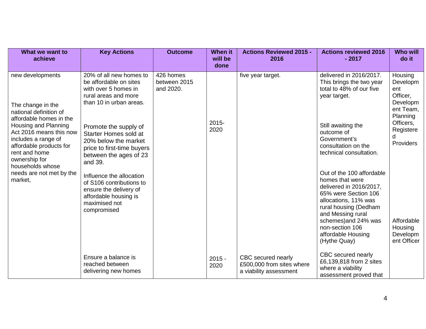| What we want to<br>achieve                                                                                                                                                                                                                            | <b>Key Actions</b>                                                                                                                               | <b>Outcome</b>                         | <b>When it</b><br>will be<br>done | <b>Actions Reviewed 2015 -</b><br>2016                                    | <b>Actions reviewed 2016</b><br>$-2017$                                                                                                                                                                                                                | <b>Who will</b><br>do it                                                                 |
|-------------------------------------------------------------------------------------------------------------------------------------------------------------------------------------------------------------------------------------------------------|--------------------------------------------------------------------------------------------------------------------------------------------------|----------------------------------------|-----------------------------------|---------------------------------------------------------------------------|--------------------------------------------------------------------------------------------------------------------------------------------------------------------------------------------------------------------------------------------------------|------------------------------------------------------------------------------------------|
| new developments<br>The change in the<br>national definition of<br>affordable homes in the<br>Housing and Planning<br>Act 2016 means this now<br>includes a range of<br>affordable products for<br>rent and home<br>ownership for<br>households whose | 20% of all new homes to<br>be affordable on sites<br>with over 5 homes in<br>rural areas and more<br>than 10 in urban areas.                     | 426 homes<br>between 2015<br>and 2020. | $2015 -$                          | five year target.                                                         | delivered in 2016/2017.<br>This brings the two year<br>total to 48% of our five<br>year target.                                                                                                                                                        | Housing<br>Developm<br>ent<br>Officer,<br>Developm<br>ent Team,<br>Planning<br>Officers, |
|                                                                                                                                                                                                                                                       | Promote the supply of<br><b>Starter Homes sold at</b><br>20% below the market<br>price to first-time buyers<br>between the ages of 23<br>and 39. |                                        | 2020                              |                                                                           | Still awaiting the<br>outcome of<br>Government's<br>consultation on the<br>technical consultation.                                                                                                                                                     | Registere<br>d<br>Providers                                                              |
| needs are not met by the<br>market,                                                                                                                                                                                                                   | Influence the allocation<br>of S106 contributions to<br>ensure the delivery of<br>affordable housing is<br>maximised not<br>compromised          |                                        |                                   |                                                                           | Out of the 100 affordable<br>homes that were<br>delivered in 2016/2017,<br>65% were Section 106<br>allocations, 11% was<br>rural housing (Dedham<br>and Messing rural<br>schemes) and 24% was<br>non-section 106<br>affordable Housing<br>(Hythe Quay) | Affordable<br>Housing<br>Developm<br>ent Officer                                         |
|                                                                                                                                                                                                                                                       | Ensure a balance is<br>reached between<br>delivering new homes                                                                                   |                                        | $2015 -$<br>2020                  | CBC secured nearly<br>£500,000 from sites where<br>a viability assessment | CBC secured nearly<br>£6,139,818 from 2 sites<br>where a viability<br>assessment proved that                                                                                                                                                           |                                                                                          |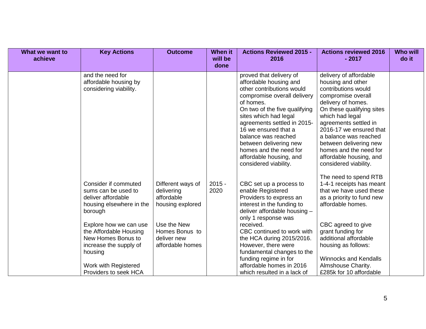| What we want to<br>achieve | <b>Key Actions</b>                                                                                                                                           | <b>Outcome</b>                                                    | When it<br>will be<br>done | <b>Actions Reviewed 2015 -</b><br>2016                                                                                                                                                                                                                                                                                                                                     | <b>Actions reviewed 2016</b><br>$-2017$                                                                                                                                                                                                                                                                                                             | <b>Who will</b><br>do it |
|----------------------------|--------------------------------------------------------------------------------------------------------------------------------------------------------------|-------------------------------------------------------------------|----------------------------|----------------------------------------------------------------------------------------------------------------------------------------------------------------------------------------------------------------------------------------------------------------------------------------------------------------------------------------------------------------------------|-----------------------------------------------------------------------------------------------------------------------------------------------------------------------------------------------------------------------------------------------------------------------------------------------------------------------------------------------------|--------------------------|
|                            | and the need for<br>affordable housing by<br>considering viability.                                                                                          |                                                                   |                            | proved that delivery of<br>affordable housing and<br>other contributions would<br>compromise overall delivery<br>of homes.<br>On two of the five qualifying<br>sites which had legal<br>agreements settled in 2015-<br>16 we ensured that a<br>balance was reached<br>between delivering new<br>homes and the need for<br>affordable housing, and<br>considered viability. | delivery of affordable<br>housing and other<br>contributions would<br>compromise overall<br>delivery of homes.<br>On these qualifying sites<br>which had legal<br>agreements settled in<br>2016-17 we ensured that<br>a balance was reached<br>between delivering new<br>homes and the need for<br>affordable housing, and<br>considered viability. |                          |
|                            | Consider if commuted<br>sums can be used to<br>deliver affordable<br>housing elsewhere in the<br>borough                                                     | Different ways of<br>delivering<br>affordable<br>housing explored | $2015 -$<br>2020           | CBC set up a process to<br>enable Registered<br>Providers to express an<br>interest in the funding to<br>deliver affordable housing -<br>only 1 response was                                                                                                                                                                                                               | The need to spend RTB<br>1-4-1 receipts has meant<br>that we have used these<br>as a priority to fund new<br>affordable homes.                                                                                                                                                                                                                      |                          |
|                            | Explore how we can use<br>the Affordable Housing<br>New Homes Bonus to<br>increase the supply of<br>housing<br>Work with Registered<br>Providers to seek HCA | Use the New<br>Homes Bonus to<br>deliver new<br>affordable homes  |                            | received.<br>CBC continued to work with<br>the HCA during 2015/2016.<br>However, there were<br>fundamental changes to the<br>funding regime in for<br>affordable homes in 2016<br>which resulted in a lack of                                                                                                                                                              | CBC agreed to give<br>grant funding for<br>additional affordable<br>housing as follows:<br><b>Winnocks and Kendalls</b><br>Almshouse Charity.<br>£285k for 10 affordable                                                                                                                                                                            |                          |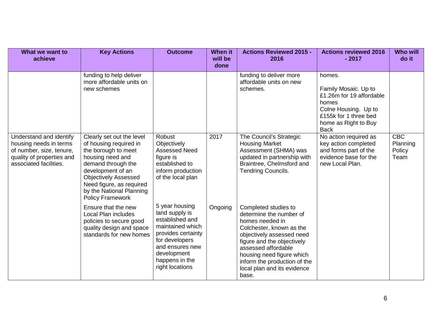| What we want to<br>achieve                                                                                                           | <b>Key Actions</b>                                                                                                                                                                                                                                          | <b>Outcome</b>                                                                                                                                                                         | <b>When it</b><br>will be<br>done | <b>Actions Reviewed 2015 -</b><br>2016                                                                                                                                                                                                                                                | <b>Actions reviewed 2016</b><br>$-2017$                                                                                                                     | <b>Who will</b><br>do it                 |
|--------------------------------------------------------------------------------------------------------------------------------------|-------------------------------------------------------------------------------------------------------------------------------------------------------------------------------------------------------------------------------------------------------------|----------------------------------------------------------------------------------------------------------------------------------------------------------------------------------------|-----------------------------------|---------------------------------------------------------------------------------------------------------------------------------------------------------------------------------------------------------------------------------------------------------------------------------------|-------------------------------------------------------------------------------------------------------------------------------------------------------------|------------------------------------------|
|                                                                                                                                      | funding to help deliver<br>more affordable units on<br>new schemes                                                                                                                                                                                          |                                                                                                                                                                                        |                                   | funding to deliver more<br>affordable units on new<br>schemes.                                                                                                                                                                                                                        | homes.<br>Family Mosaic. Up to<br>£1.26m for 19 affordable<br>homes<br>Colne Housing. Up to<br>£155k for 1 three bed<br>home as Right to Buy<br><b>Back</b> |                                          |
| Understand and identify<br>housing needs in terms<br>of number, size, tenure,<br>quality of properties and<br>associated facilities. | Clearly set out the level<br>of housing required in<br>the borough to meet<br>housing need and<br>demand through the<br>development of an<br><b>Objectively Assessed</b><br>Need figure, as required<br>by the National Planning<br><b>Policy Framework</b> | Robust<br>Objectively<br><b>Assessed Need</b><br>figure is<br>established to<br>inform production<br>of the local plan                                                                 | 2017                              | The Council's Strategic<br><b>Housing Market</b><br>Assessment (SHMA) was<br>updated in partnership with<br>Braintree, Chelmsford and<br>Tendring Councils.                                                                                                                           | No action required as<br>key action completed<br>and forms part of the<br>evidence base for the<br>new Local Plan.                                          | <b>CBC</b><br>Planning<br>Policy<br>Team |
|                                                                                                                                      | Ensure that the new<br>Local Plan includes<br>policies to secure good<br>quality design and space<br>standards for new homes                                                                                                                                | 5 year housing<br>land supply is<br>established and<br>maintained which<br>provides certainty<br>for developers<br>and ensures new<br>development<br>happens in the<br>right locations | Ongoing                           | Completed studies to<br>determine the number of<br>homes needed in<br>Colchester, known as the<br>objectively assessed need<br>figure and the objectively<br>assessed affordable<br>housing need figure which<br>inform the production of the<br>local plan and its evidence<br>base. |                                                                                                                                                             |                                          |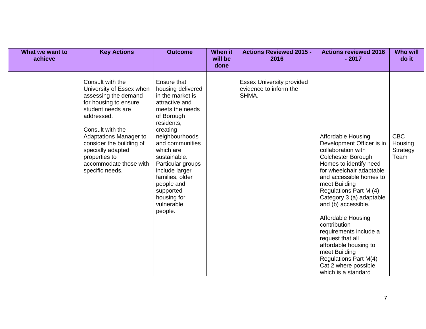| What we want to<br>achieve | <b>Key Actions</b>                                                                                                                                                                                                                                                                                   | <b>Outcome</b>                                                                                                                                                                                                                                                                                                                   | <b>When it</b><br>will be<br>done | <b>Actions Reviewed 2015 -</b><br>2016                              | <b>Actions reviewed 2016</b><br>$-2017$                                                                                                                                                                                                                                                                                                                                                                                                                                                  | <b>Who will</b><br>do it                  |
|----------------------------|------------------------------------------------------------------------------------------------------------------------------------------------------------------------------------------------------------------------------------------------------------------------------------------------------|----------------------------------------------------------------------------------------------------------------------------------------------------------------------------------------------------------------------------------------------------------------------------------------------------------------------------------|-----------------------------------|---------------------------------------------------------------------|------------------------------------------------------------------------------------------------------------------------------------------------------------------------------------------------------------------------------------------------------------------------------------------------------------------------------------------------------------------------------------------------------------------------------------------------------------------------------------------|-------------------------------------------|
|                            | Consult with the<br>University of Essex when<br>assessing the demand<br>for housing to ensure<br>student needs are<br>addressed.<br>Consult with the<br><b>Adaptations Manager to</b><br>consider the building of<br>specially adapted<br>properties to<br>accommodate those with<br>specific needs. | Ensure that<br>housing delivered<br>in the market is<br>attractive and<br>meets the needs<br>of Borough<br>residents,<br>creating<br>neighbourhoods<br>and communities<br>which are<br>sustainable.<br>Particular groups<br>include larger<br>families, older<br>people and<br>supported<br>housing for<br>vulnerable<br>people. |                                   | <b>Essex University provided</b><br>evidence to inform the<br>SHMA. | <b>Affordable Housing</b><br>Development Officer is in<br>collaboration with<br>Colchester Borough<br>Homes to identify need<br>for wheelchair adaptable<br>and accessible homes to<br>meet Building<br>Regulations Part M (4)<br>Category 3 (a) adaptable<br>and (b) accessible.<br>Affordable Housing<br>contribution<br>requirements include a<br>request that all<br>affordable housing to<br>meet Building<br>Regulations Part M(4)<br>Cat 2 where possible,<br>which is a standard | <b>CBC</b><br>Housing<br>Strategy<br>Team |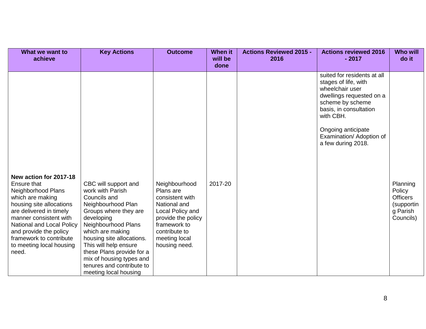| What we want to<br>achieve                                                                                                                                                                                                                                                              | <b>Key Actions</b>                                                                                                                                                                                                                                                                                                                    | <b>Outcome</b>                                                                                                                                                             | <b>When it</b><br>will be<br>done | <b>Actions Reviewed 2015 -</b><br>2016 | <b>Actions reviewed 2016</b><br>$-2017$                                                                                                                                                                                               | <b>Who will</b><br>do it                                                     |
|-----------------------------------------------------------------------------------------------------------------------------------------------------------------------------------------------------------------------------------------------------------------------------------------|---------------------------------------------------------------------------------------------------------------------------------------------------------------------------------------------------------------------------------------------------------------------------------------------------------------------------------------|----------------------------------------------------------------------------------------------------------------------------------------------------------------------------|-----------------------------------|----------------------------------------|---------------------------------------------------------------------------------------------------------------------------------------------------------------------------------------------------------------------------------------|------------------------------------------------------------------------------|
| New action for 2017-18<br>Ensure that<br>Neighborhood Plans<br>which are making<br>housing site allocations<br>are delivered in timely<br>manner consistent with<br>National and Local Policy<br>and provide the policy<br>framework to contribute<br>to meeting local housing<br>need. | CBC will support and<br>work with Parish<br>Councils and<br>Neighbourhood Plan<br>Groups where they are<br>developing<br>Neighbourhood Plans<br>which are making<br>housing site allocations.<br>This will help ensure<br>these Plans provide for a<br>mix of housing types and<br>tenures and contribute to<br>meeting local housing | Neighbourhood<br>Plans are<br>consistent with<br>National and<br>Local Policy and<br>provide the policy<br>framework to<br>contribute to<br>meeting local<br>housing need. | 2017-20                           |                                        | suited for residents at all<br>stages of life, with<br>wheelchair user<br>dwellings requested on a<br>scheme by scheme<br>basis, in consultation<br>with CBH.<br>Ongoing anticipate<br>Examination/ Adoption of<br>a few during 2018. | Planning<br>Policy<br><b>Officers</b><br>(supportin<br>g Parish<br>Councils) |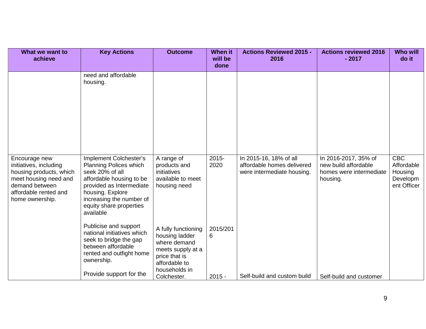| What we want to<br>achieve                                                                                                                                | <b>Key Actions</b>                                                                                                                                                                                                         | <b>Outcome</b>                                                                                                                               | <b>When it</b><br>will be<br>done | <b>Actions Reviewed 2015 -</b><br>2016                                             | <b>Actions reviewed 2016</b><br>$-2017$                                             | <b>Who will</b><br>do it                                       |
|-----------------------------------------------------------------------------------------------------------------------------------------------------------|----------------------------------------------------------------------------------------------------------------------------------------------------------------------------------------------------------------------------|----------------------------------------------------------------------------------------------------------------------------------------------|-----------------------------------|------------------------------------------------------------------------------------|-------------------------------------------------------------------------------------|----------------------------------------------------------------|
|                                                                                                                                                           | need and affordable<br>housing.                                                                                                                                                                                            |                                                                                                                                              |                                   |                                                                                    |                                                                                     |                                                                |
| Encourage new<br>initiatives, including<br>housing products, which<br>meet housing need and<br>demand between<br>affordable rented and<br>home ownership. | Implement Colchester's<br><b>Planning Polices which</b><br>seek 20% of all<br>affordable housing to be<br>provided as Intermediate<br>housing. Explore<br>increasing the number of<br>equity share properties<br>available | A range of<br>products and<br>initiatives<br>available to meet<br>housing need                                                               | $2015 -$<br>2020                  | In 2015-16, 18% of all<br>affordable homes delivered<br>were intermediate housing. | In 2016-2017, 35% of<br>new build affordable<br>homes were intermediate<br>housing. | <b>CBC</b><br>Affordable<br>Housing<br>Developm<br>ent Officer |
|                                                                                                                                                           | Publicise and support<br>national initiatives which<br>seek to bridge the gap<br>between affordable<br>rented and outfight home<br>ownership.<br>Provide support for the                                                   | A fully functioning<br>housing ladder<br>where demand<br>meets supply at a<br>price that is<br>affordable to<br>households in<br>Colchester. | 2015/201<br>6<br>$2015 -$         | Self-build and custom build                                                        | Self-build and customer                                                             |                                                                |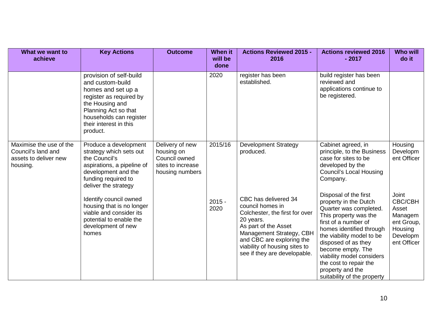| What we want to<br>achieve                                                         | <b>Key Actions</b>                                                                                                                                                                                       | <b>Outcome</b>                                                                         | When it<br>will be<br>done | <b>Actions Reviewed 2015 -</b><br>2016                                                                                                                                                                                                    | <b>Actions reviewed 2016</b><br>$-2017$                                                                                                                                                                                                                                                                                                  | <b>Who will</b><br>do it                                                                 |
|------------------------------------------------------------------------------------|----------------------------------------------------------------------------------------------------------------------------------------------------------------------------------------------------------|----------------------------------------------------------------------------------------|----------------------------|-------------------------------------------------------------------------------------------------------------------------------------------------------------------------------------------------------------------------------------------|------------------------------------------------------------------------------------------------------------------------------------------------------------------------------------------------------------------------------------------------------------------------------------------------------------------------------------------|------------------------------------------------------------------------------------------|
|                                                                                    | provision of self-build<br>and custom-build<br>homes and set up a<br>register as required by<br>the Housing and<br>Planning Act so that<br>households can register<br>their interest in this<br>product. |                                                                                        | 2020                       | register has been<br>established.                                                                                                                                                                                                         | build register has been<br>reviewed and<br>applications continue to<br>be registered.                                                                                                                                                                                                                                                    |                                                                                          |
| Maximise the use of the<br>Council's land and<br>assets to deliver new<br>housing. | Produce a development<br>strategy which sets out<br>the Council's<br>aspirations, a pipeline of<br>development and the<br>funding required to<br>deliver the strategy                                    | Delivery of new<br>housing on<br>Council owned<br>sites to increase<br>housing numbers | 2015/16                    | <b>Development Strategy</b><br>produced.                                                                                                                                                                                                  | Cabinet agreed, in<br>principle, to the Business<br>case for sites to be<br>developed by the<br><b>Council's Local Housing</b><br>Company.                                                                                                                                                                                               | Housing<br>Developm<br>ent Officer                                                       |
|                                                                                    | Identify council owned<br>housing that is no longer<br>viable and consider its<br>potential to enable the<br>development of new<br>homes                                                                 |                                                                                        | $2015 -$<br>2020           | CBC has delivered 34<br>council homes in<br>Colchester, the first for over<br>20 years.<br>As part of the Asset<br>Management Strategy, CBH<br>and CBC are exploring the<br>viability of housing sites to<br>see if they are developable. | Disposal of the first<br>property in the Dutch<br>Quarter was completed.<br>This property was the<br>first of a number of<br>homes identified through<br>the viability model to be<br>disposed of as they<br>become empty. The<br>viability model considers<br>the cost to repair the<br>property and the<br>suitability of the property | Joint<br>CBC/CBH<br>Asset<br>Managem<br>ent Group,<br>Housing<br>Developm<br>ent Officer |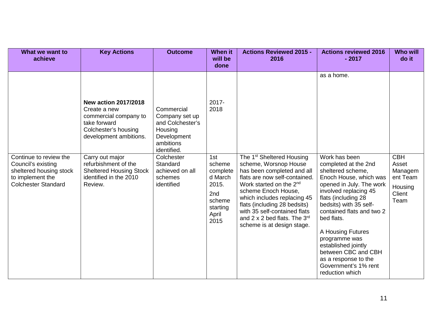| What we want to<br>achieve                                                                                                | <b>Key Actions</b>                                                                                                                     | <b>Outcome</b>                                                                                         | <b>When it</b><br>will be<br>done                                                           | <b>Actions Reviewed 2015 -</b><br>2016                                                                                                                                                                                                                                                                                                                        | <b>Actions reviewed 2016</b><br>$-2017$                                                                                                                                                                                                                                                                                                                                                      | <b>Who will</b><br>do it                                                |
|---------------------------------------------------------------------------------------------------------------------------|----------------------------------------------------------------------------------------------------------------------------------------|--------------------------------------------------------------------------------------------------------|---------------------------------------------------------------------------------------------|---------------------------------------------------------------------------------------------------------------------------------------------------------------------------------------------------------------------------------------------------------------------------------------------------------------------------------------------------------------|----------------------------------------------------------------------------------------------------------------------------------------------------------------------------------------------------------------------------------------------------------------------------------------------------------------------------------------------------------------------------------------------|-------------------------------------------------------------------------|
|                                                                                                                           | <b>New action 2017/2018</b><br>Create a new<br>commercial company to<br>take forward<br>Colchester's housing<br>development ambitions. | Commercial<br>Company set up<br>and Colchester's<br>Housing<br>Development<br>ambitions<br>identified. | 2017-<br>2018                                                                               |                                                                                                                                                                                                                                                                                                                                                               | as a home.                                                                                                                                                                                                                                                                                                                                                                                   |                                                                         |
| Continue to review the<br>Council's existing<br>sheltered housing stock<br>to implement the<br><b>Colchester Standard</b> | Carry out major<br>refurbishment of the<br><b>Sheltered Housing Stock</b><br>identified in the 2010<br>Review.                         | Colchester<br>Standard<br>achieved on all<br>schemes<br>identified                                     | 1st<br>scheme<br>complete<br>d March<br>2015.<br>2nd<br>scheme<br>starting<br>April<br>2015 | The 1 <sup>st</sup> Sheltered Housing<br>scheme, Worsnop House<br>has been completed and all<br>flats are now self-contained.<br>Work started on the 2 <sup>nd</sup><br>scheme Enoch House,<br>which includes replacing 45<br>flats (including 28 bedsits)<br>with 35 self-contained flats<br>and 2 x 2 bed flats. The $3^{rd}$<br>scheme is at design stage. | Work has been<br>completed at the 2nd<br>sheltered scheme,<br>Enoch House, which was<br>opened in July. The work<br>involved replacing 45<br>flats (including 28<br>bedsits) with 35 self-<br>contained flats and two 2<br>bed flats.<br>A Housing Futures<br>programme was<br>established jointly<br>between CBC and CBH<br>as a response to the<br>Government's 1% rent<br>reduction which | <b>CBH</b><br>Asset<br>Managem<br>ent Team<br>Housing<br>Client<br>Team |

11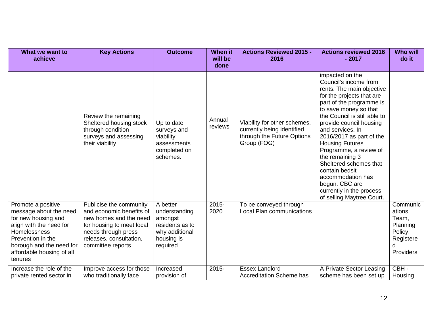| What we want to<br>achieve                                                                                                                                                                              | <b>Key Actions</b>                                                                                                                                                                | <b>Outcome</b>                                                                                      | <b>When it</b><br>will be<br>done | <b>Actions Reviewed 2015 -</b><br>2016                                                                  | <b>Actions reviewed 2016</b><br>$-2017$                                                                                                                                                                                                                                                                                                                                                                                                                                               | <b>Who will</b><br>do it                                                          |
|---------------------------------------------------------------------------------------------------------------------------------------------------------------------------------------------------------|-----------------------------------------------------------------------------------------------------------------------------------------------------------------------------------|-----------------------------------------------------------------------------------------------------|-----------------------------------|---------------------------------------------------------------------------------------------------------|---------------------------------------------------------------------------------------------------------------------------------------------------------------------------------------------------------------------------------------------------------------------------------------------------------------------------------------------------------------------------------------------------------------------------------------------------------------------------------------|-----------------------------------------------------------------------------------|
|                                                                                                                                                                                                         | Review the remaining<br>Sheltered housing stock<br>through condition<br>surveys and assessing<br>their viability                                                                  | Up to date<br>surveys and<br>viability<br>assessments<br>completed on<br>schemes.                   | Annual<br>reviews                 | Viability for other schemes,<br>currently being identified<br>through the Future Options<br>Group (FOG) | impacted on the<br>Council's income from<br>rents. The main objective<br>for the projects that are<br>part of the programme is<br>to save money so that<br>the Council is still able to<br>provide council housing<br>and services. In<br>2016/2017 as part of the<br><b>Housing Futures</b><br>Programme, a review of<br>the remaining 3<br>Sheltered schemes that<br>contain bedsit<br>accommodation has<br>begun. CBC are<br>currently in the process<br>of selling Maytree Court. |                                                                                   |
| Promote a positive<br>message about the need<br>for new housing and<br>align with the need for<br>Homelessness<br>Prevention in the<br>borough and the need for<br>affordable housing of all<br>tenures | Publicise the community<br>and economic benefits of<br>new homes and the need<br>for housing to meet local<br>needs through press<br>releases, consultation,<br>committee reports | A better<br>understanding<br>amongst<br>residents as to<br>why additional<br>housing is<br>required | $2015 -$<br>2020                  | To be conveyed through<br><b>Local Plan communications</b>                                              |                                                                                                                                                                                                                                                                                                                                                                                                                                                                                       | Communic<br>ations<br>Team,<br>Planning<br>Policy,<br>Registere<br>d<br>Providers |
| Increase the role of the<br>private rented sector in                                                                                                                                                    | Improve access for those<br>who traditionally face                                                                                                                                | Increased<br>provision of                                                                           | $2015 -$                          | <b>Essex Landlord</b><br><b>Accreditation Scheme has</b>                                                | A Private Sector Leasing<br>scheme has been set up                                                                                                                                                                                                                                                                                                                                                                                                                                    | CBH-<br>Housing                                                                   |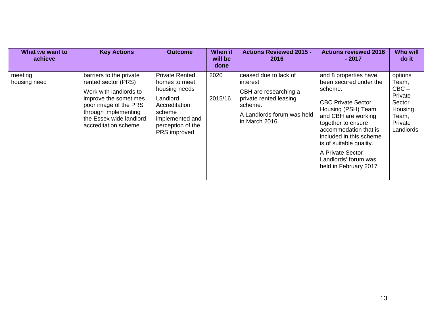| What we want to<br>achieve | <b>Key Actions</b>                                                                                                                                                                                    | <b>Outcome</b>                                                                                                                                         | <b>When it</b><br>will be<br>done | <b>Actions Reviewed 2015 -</b><br>2016                                                                                                          | <b>Actions reviewed 2016</b><br>$-2017$                                                                                                                                                                                                                                                                        | <b>Who will</b><br>do it                                                                     |
|----------------------------|-------------------------------------------------------------------------------------------------------------------------------------------------------------------------------------------------------|--------------------------------------------------------------------------------------------------------------------------------------------------------|-----------------------------------|-------------------------------------------------------------------------------------------------------------------------------------------------|----------------------------------------------------------------------------------------------------------------------------------------------------------------------------------------------------------------------------------------------------------------------------------------------------------------|----------------------------------------------------------------------------------------------|
| meeting<br>housing need    | barriers to the private<br>rented sector (PRS)<br>Work with landlords to<br>improve the sometimes<br>poor image of the PRS<br>through implementing<br>the Essex wide landlord<br>accreditation scheme | <b>Private Rented</b><br>homes to meet<br>housing needs<br>Landlord<br>Accreditation<br>scheme<br>implemented and<br>perception of the<br>PRS improved | 2020<br>2015/16                   | ceased due to lack of<br>interest<br>CBH are researching a<br>private rented leasing<br>scheme.<br>A Landlords forum was held<br>in March 2016. | and 8 properties have<br>been secured under the<br>scheme.<br><b>CBC Private Sector</b><br>Housing (PSH) Team<br>and CBH are working<br>together to ensure<br>accommodation that is<br>included in this scheme<br>is of suitable quality.<br>A Private Sector<br>Landlords' forum was<br>held in February 2017 | options<br>Team,<br>$CBC -$<br>Private<br>Sector<br>Housing<br>Team,<br>Private<br>Landlords |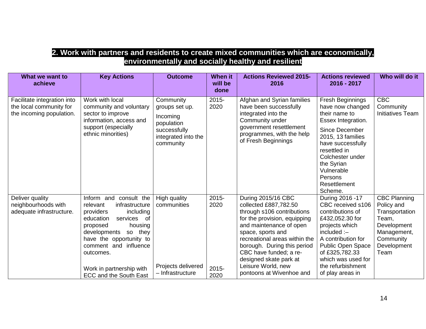#### **2. Work with partners and residents to create mixed communities which are economically, environmentally and socially healthy and resilient**

| What we want to<br>achieve                                                         | <b>Key Actions</b>                                                                                                                                                                                                                                                                               | <b>Outcome</b>                                                                                            | <b>When it</b><br>will be<br>done | <b>Actions Reviewed 2015-</b><br>2016                                                                                                                                                                                                                                                                                           | <b>Actions reviewed</b><br>2016 - 2017                                                                                                                                                                                                                      | Who will do it                                                                                                                 |
|------------------------------------------------------------------------------------|--------------------------------------------------------------------------------------------------------------------------------------------------------------------------------------------------------------------------------------------------------------------------------------------------|-----------------------------------------------------------------------------------------------------------|-----------------------------------|---------------------------------------------------------------------------------------------------------------------------------------------------------------------------------------------------------------------------------------------------------------------------------------------------------------------------------|-------------------------------------------------------------------------------------------------------------------------------------------------------------------------------------------------------------------------------------------------------------|--------------------------------------------------------------------------------------------------------------------------------|
| Facilitate integration into<br>the local community for<br>the incoming population. | Work with local<br>community and voluntary<br>sector to improve<br>information, access and<br>support (especially<br>ethnic minorities)                                                                                                                                                          | Community<br>groups set up.<br>Incoming<br>population<br>successfully<br>integrated into the<br>community | 2015-<br>2020                     | Afghan and Syrian families<br>have been successfully<br>integrated into the<br>Community under<br>government resettlement<br>programmes, with the help<br>of Fresh Beginnings                                                                                                                                                   | Fresh Beginnings<br>have now changed<br>their name to<br>Essex Integration.<br><b>Since December</b><br>2015, 13 families<br>have successfully<br>resettled in<br>Colchester under<br>the Syrian<br>Vulnerable<br>Persons<br><b>Resettlement</b><br>Scheme. | <b>CBC</b><br>Community<br><b>Initiatives Team</b>                                                                             |
| Deliver quality<br>neighbourhoods with<br>adequate infrastructure.                 | consult the<br>Inform and<br>infrastructure<br>relevant<br>including<br>providers<br>of<br>education<br>services<br>proposed<br>housing<br>developments<br>so they<br>have the opportunity to<br>comment and influence<br>outcomes.<br>Work in partnership with<br><b>ECC and the South East</b> | High quality<br>communities<br>Projects delivered<br>- Infrastructure                                     | 2015-<br>2020<br>$2015 -$<br>2020 | During 2015/16 CBC<br>collected £887,782.50<br>through s106 contributions<br>for the provision, equipping<br>and maintenance of open<br>space, sports and<br>recreational areas within the<br>borough. During this period<br>CBC have funded; a re-<br>designed skate park at<br>Leisure World, new<br>pontoons at Wivenhoe and | During 2016 - 17<br>CBC received s106<br>contributions of<br>£432,052.30 for<br>projects which<br>included :-<br>A contribution for<br>Public Open Space<br>of £325,782.33<br>which was used for<br>the refurbishment<br>of play areas in                   | <b>CBC Planning</b><br>Policy and<br>Transportation<br>Team,<br>Development<br>Management,<br>Community<br>Development<br>Team |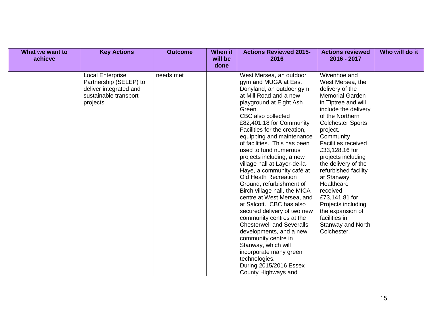| What we want to<br>achieve | <b>Key Actions</b>                                                                                               | <b>Outcome</b> | When it<br>will be<br>done | <b>Actions Reviewed 2015-</b><br>2016                                                                                                                                                                                                                                                                                                                                                                                                                                                                                                                                                                                                                                                                                                                                                                                          | <b>Actions reviewed</b><br>2016 - 2017                                                                                                                                                                                                                                                                                                                                                                                                                                                     | Who will do it |
|----------------------------|------------------------------------------------------------------------------------------------------------------|----------------|----------------------------|--------------------------------------------------------------------------------------------------------------------------------------------------------------------------------------------------------------------------------------------------------------------------------------------------------------------------------------------------------------------------------------------------------------------------------------------------------------------------------------------------------------------------------------------------------------------------------------------------------------------------------------------------------------------------------------------------------------------------------------------------------------------------------------------------------------------------------|--------------------------------------------------------------------------------------------------------------------------------------------------------------------------------------------------------------------------------------------------------------------------------------------------------------------------------------------------------------------------------------------------------------------------------------------------------------------------------------------|----------------|
|                            | <b>Local Enterprise</b><br>Partnership (SELEP) to<br>deliver integrated and<br>sustainable transport<br>projects | needs met      |                            | West Mersea, an outdoor<br>gym and MUGA at East<br>Donyland, an outdoor gym<br>at Mill Road and a new<br>playground at Eight Ash<br>Green.<br>CBC also collected<br>£82,401.18 for Community<br>Facilities for the creation,<br>equipping and maintenance<br>of facilities. This has been<br>used to fund numerous<br>projects including; a new<br>village hall at Layer-de-la-<br>Haye, a community café at<br>Old Heath Recreation<br>Ground, refurbishment of<br>Birch village hall, the MICA<br>centre at West Mersea, and<br>at Salcott. CBC has also<br>secured delivery of two new<br>community centres at the<br><b>Chesterwell and Severalls</b><br>developments, and a new<br>community centre in<br>Stanway, which will<br>incorporate many green<br>technologies.<br>During 2015/2016 Essex<br>County Highways and | Wivenhoe and<br>West Mersea, the<br>delivery of the<br><b>Memorial Garden</b><br>in Tiptree and will<br>include the delivery<br>of the Northern<br><b>Colchester Sports</b><br>project.<br>Community<br><b>Facilities received</b><br>£33,128.16 for<br>projects including<br>the delivery of the<br>refurbished facility<br>at Stanway.<br>Healthcare<br>received<br>£73,141.81 for<br>Projects including<br>the expansion of<br>facilities in<br><b>Stanway and North</b><br>Colchester. |                |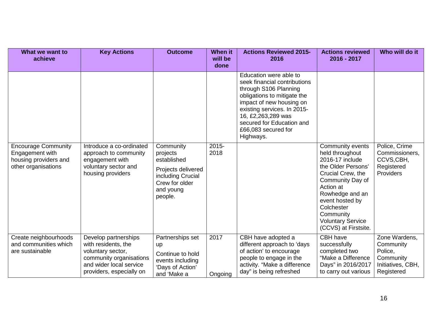| What we want to<br>achieve                                                                    | <b>Key Actions</b>                                                                                                                                 | <b>Outcome</b>                                                                                                            | <b>When it</b><br>will be<br>done | <b>Actions Reviewed 2015-</b><br>2016                                                                                                                                                                                                                            | <b>Actions reviewed</b><br>2016 - 2017                                                                                                                                                                                                                  | Who will do it                                                                        |
|-----------------------------------------------------------------------------------------------|----------------------------------------------------------------------------------------------------------------------------------------------------|---------------------------------------------------------------------------------------------------------------------------|-----------------------------------|------------------------------------------------------------------------------------------------------------------------------------------------------------------------------------------------------------------------------------------------------------------|---------------------------------------------------------------------------------------------------------------------------------------------------------------------------------------------------------------------------------------------------------|---------------------------------------------------------------------------------------|
|                                                                                               |                                                                                                                                                    |                                                                                                                           |                                   | Education were able to<br>seek financial contributions<br>through S106 Planning<br>obligations to mitigate the<br>impact of new housing on<br>existing services. In 2015-<br>16, £2,263,289 was<br>secured for Education and<br>£66,083 secured for<br>Highways. |                                                                                                                                                                                                                                                         |                                                                                       |
| <b>Encourage Community</b><br>Engagement with<br>housing providers and<br>other organisations | Introduce a co-ordinated<br>approach to community<br>engagement with<br>voluntary sector and<br>housing providers                                  | Community<br>projects<br>established<br>Projects delivered<br>including Crucial<br>Crew for older<br>and young<br>people. | $2015 -$<br>2018                  |                                                                                                                                                                                                                                                                  | Community events<br>held throughout<br>2016-17 include<br>the Older Persons'<br>Crucial Crew, the<br>Community Day of<br>Action at<br>Rowhedge and an<br>event hosted by<br>Colchester<br>Community<br><b>Voluntary Service</b><br>(CCVS) at Firstsite. | Police, Crime<br>Commissioners,<br>CCVS,CBH,<br>Registered<br>Providers               |
| Create neighbourhoods<br>and communities which<br>are sustainable                             | Develop partnerships<br>with residents, the<br>voluntary sector,<br>community organisations<br>and wider local service<br>providers, especially on | Partnerships set<br>up<br>Continue to hold<br>events including<br>'Days of Action'<br>and 'Make a                         | 2017<br>Ongoing                   | CBH have adopted a<br>different approach to 'days<br>of action' to encourage<br>people to engage in the<br>activity. "Make a difference<br>day" is being refreshed                                                                                               | CBH have<br>successfully<br>completed two<br>"Make a Difference<br>Days" in 2016/2017<br>to carry out various                                                                                                                                           | Zone Wardens,<br>Community<br>Police,<br>Community<br>Initiatives, CBH,<br>Registered |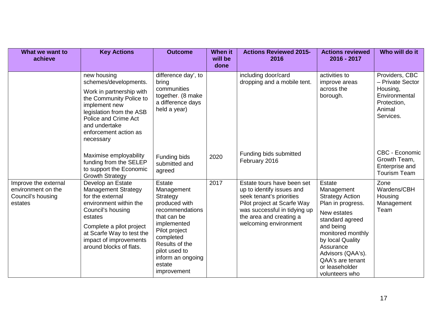| What we want to<br>achieve                                                 | <b>Key Actions</b>                                                                                                                                                                                                                          | <b>Outcome</b>                                                                                                                                                                                                           | <b>When it</b><br>will be<br>done | <b>Actions Reviewed 2015-</b><br>2016                                                                                                                                                                  | <b>Actions reviewed</b><br>2016 - 2017                                                                                                                                                                                                                       | Who will do it                                                                                        |
|----------------------------------------------------------------------------|---------------------------------------------------------------------------------------------------------------------------------------------------------------------------------------------------------------------------------------------|--------------------------------------------------------------------------------------------------------------------------------------------------------------------------------------------------------------------------|-----------------------------------|--------------------------------------------------------------------------------------------------------------------------------------------------------------------------------------------------------|--------------------------------------------------------------------------------------------------------------------------------------------------------------------------------------------------------------------------------------------------------------|-------------------------------------------------------------------------------------------------------|
|                                                                            | new housing<br>schemes/developments.<br>Work in partnership with<br>the Community Police to<br>implement new<br>legislation from the ASB<br>Police and Crime Act<br>and undertake<br>enforcement action as<br>necessary                     | difference day', to<br>bring<br>communities<br>together. (8 make<br>a difference days<br>held a year)                                                                                                                    |                                   | including door/card<br>dropping and a mobile tent.                                                                                                                                                     | activities to<br>improve areas<br>across the<br>borough.                                                                                                                                                                                                     | Providers, CBC<br>- Private Sector<br>Housing,<br>Environmental<br>Protection,<br>Animal<br>Services. |
|                                                                            | Maximise employability<br>funding from the SELEP<br>to support the Economic<br><b>Growth Strategy</b>                                                                                                                                       | Funding bids<br>submitted and<br>agreed                                                                                                                                                                                  | 2020                              | Funding bids submitted<br>February 2016                                                                                                                                                                |                                                                                                                                                                                                                                                              | CBC - Economic<br>Growth Team,<br>Enterprise and<br><b>Tourism Team</b>                               |
| Improve the external<br>environment on the<br>Council's housing<br>estates | Develop an Estate<br><b>Management Strategy</b><br>for the external<br>environment within the<br>Council's housing<br>estates<br>Complete a pilot project<br>at Scarfe Way to test the<br>impact of improvements<br>around blocks of flats. | <b>Estate</b><br>Management<br>Strategy<br>produced with<br>recommendations<br>that can be<br>implemented<br>Pilot project<br>completed<br>Results of the<br>pilot used to<br>inform an ongoing<br>estate<br>improvement | 2017                              | Estate tours have been set<br>up to identify issues and<br>seek tenant's priorities<br>Pilot project at Scarfe Way<br>was successful in tidying up<br>the area and creating a<br>welcoming environment | <b>Estate</b><br>Management<br><b>Strategy Action</b><br>Plan in progress.<br>New estates<br>standard agreed<br>and being<br>monitored monthly<br>by local Quality<br>Assurance<br>Advisors (QAA's).<br>QAA's are tenant<br>or leaseholder<br>volunteers who | Zone<br>Wardens/CBH<br>Housing<br>Management<br>Team                                                  |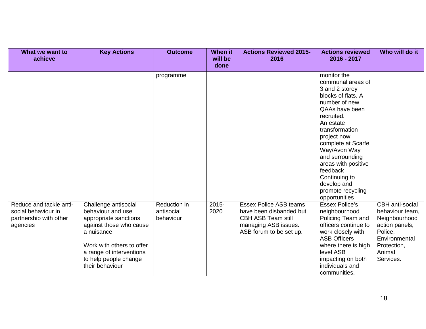| What we want to<br>achieve                                                           | <b>Key Actions</b>                                                                                                                                                                                               | <b>Outcome</b>                          | When it<br>will be<br>done | <b>Actions Reviewed 2015-</b><br>2016                                                                                                    | <b>Actions reviewed</b><br>2016 - 2017                                                                                                                                                                                                                                                                                                    | Who will do it                                                                                                                          |
|--------------------------------------------------------------------------------------|------------------------------------------------------------------------------------------------------------------------------------------------------------------------------------------------------------------|-----------------------------------------|----------------------------|------------------------------------------------------------------------------------------------------------------------------------------|-------------------------------------------------------------------------------------------------------------------------------------------------------------------------------------------------------------------------------------------------------------------------------------------------------------------------------------------|-----------------------------------------------------------------------------------------------------------------------------------------|
|                                                                                      |                                                                                                                                                                                                                  | programme                               |                            |                                                                                                                                          | monitor the<br>communal areas of<br>3 and 2 storey<br>blocks of flats. A<br>number of new<br>QAAs have been<br>recruited.<br>An estate<br>transformation<br>project now<br>complete at Scarfe<br>Way/Avon Way<br>and surrounding<br>areas with positive<br>feedback<br>Continuing to<br>develop and<br>promote recycling<br>opportunities |                                                                                                                                         |
| Reduce and tackle anti-<br>social behaviour in<br>partnership with other<br>agencies | Challenge antisocial<br>behaviour and use<br>appropriate sanctions<br>against those who cause<br>a nuisance<br>Work with others to offer<br>a range of interventions<br>to help people change<br>their behaviour | Reduction in<br>antisocial<br>behaviour | $2015 -$<br>2020           | <b>Essex Police ASB teams</b><br>have been disbanded but<br><b>CBH ASB Team still</b><br>managing ASB issues.<br>ASB forum to be set up. | <b>Essex Police's</b><br>neighbourhood<br>Policing Team and<br>officers continue to<br>work closely with<br><b>ASB Officers</b><br>where there is high<br>level ASB<br>impacting on both<br>individuals and<br>communities.                                                                                                               | CBH anti-social<br>behaviour team,<br>Neighbourhood<br>action panels,<br>Police.<br>Environmental<br>Protection,<br>Animal<br>Services. |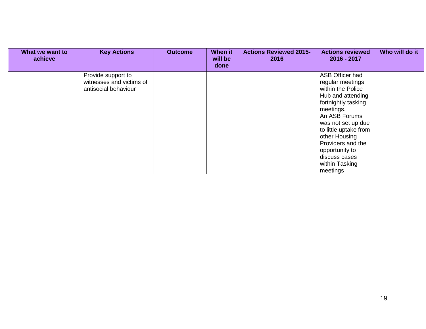| What we want to<br>achieve | <b>Key Actions</b>                                                     | <b>Outcome</b> | <b>When it</b><br>will be<br>done | <b>Actions Reviewed 2015-</b><br>2016 | <b>Actions reviewed</b><br>2016 - 2017                                                                                                                                                                                                                                                   | Who will do it |
|----------------------------|------------------------------------------------------------------------|----------------|-----------------------------------|---------------------------------------|------------------------------------------------------------------------------------------------------------------------------------------------------------------------------------------------------------------------------------------------------------------------------------------|----------------|
|                            | Provide support to<br>witnesses and victims of<br>antisocial behaviour |                |                                   |                                       | ASB Officer had<br>regular meetings<br>within the Police<br>Hub and attending<br>fortnightly tasking<br>meetings.<br>An ASB Forums<br>was not set up due<br>to little uptake from<br>other Housing<br>Providers and the<br>opportunity to<br>discuss cases<br>within Tasking<br>meetings |                |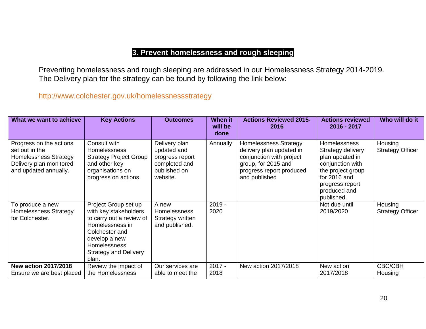### **3. Prevent homelessness and rough sleeping**

Preventing homelessness and rough sleeping are addressed in our Homelessness Strategy 2014-2019. The Delivery plan for the strategy can be found by following the link below:

<http://www.colchester.gov.uk/homelessnessstrategy>

| What we want to achieve                                                                                                       | <b>Key Actions</b>                                                                                                                                                                       | <b>Outcomes</b>                                                                              | <b>When it</b><br>will be<br>done | <b>Actions Reviewed 2015-</b><br>2016                                                                                                                    | <b>Actions reviewed</b><br>2016 - 2017                                                                                                                                | Who will do it                     |
|-------------------------------------------------------------------------------------------------------------------------------|------------------------------------------------------------------------------------------------------------------------------------------------------------------------------------------|----------------------------------------------------------------------------------------------|-----------------------------------|----------------------------------------------------------------------------------------------------------------------------------------------------------|-----------------------------------------------------------------------------------------------------------------------------------------------------------------------|------------------------------------|
| Progress on the actions<br>set out in the<br><b>Homelessness Strategy</b><br>Delivery plan monitored<br>and updated annually. | Consult with<br><b>Homelessness</b><br><b>Strategy Project Group</b><br>and other key<br>organisations on<br>progress on actions.                                                        | Delivery plan<br>updated and<br>progress report<br>completed and<br>published on<br>website. | Annually                          | <b>Homelessness Strategy</b><br>delivery plan updated in<br>conjunction with project<br>group, for 2015 and<br>progress report produced<br>and published | <b>Homelessness</b><br>Strategy delivery<br>plan updated in<br>conjunction with<br>the project group<br>for 2016 and<br>progress report<br>produced and<br>published. | Housing<br><b>Strategy Officer</b> |
| To produce a new<br>Homelessness Strategy<br>for Colchester.                                                                  | Project Group set up<br>with key stakeholders<br>to carry out a review of<br>Homelessness in<br>Colchester and<br>develop a new<br>Homelessness<br><b>Strategy and Delivery</b><br>plan. | A new<br>Homelessness<br>Strategy written<br>and published.                                  | $2019 -$<br>2020                  |                                                                                                                                                          | Not due until<br>2019/2020                                                                                                                                            | Housing<br><b>Strategy Officer</b> |
| <b>New action 2017/2018</b><br>Ensure we are best placed                                                                      | Review the impact of<br>the Homelessness                                                                                                                                                 | Our services are<br>able to meet the                                                         | $2017 -$<br>2018                  | New action 2017/2018                                                                                                                                     | New action<br>2017/2018                                                                                                                                               | CBC/CBH<br>Housing                 |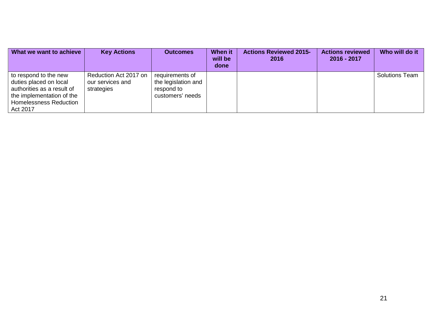| What we want to achieve                                                                                                                                 | <b>Key Actions</b>                                      | <b>Outcomes</b>                                                          | <b>When it</b><br>will be<br>done | <b>Actions Reviewed 2015-</b><br>2016 | <b>Actions reviewed</b><br>2016 - 2017 | Who will do it        |
|---------------------------------------------------------------------------------------------------------------------------------------------------------|---------------------------------------------------------|--------------------------------------------------------------------------|-----------------------------------|---------------------------------------|----------------------------------------|-----------------------|
| to respond to the new<br>duties placed on local<br>authorities as a result of<br>the implementation of the<br><b>Homelessness Reduction</b><br>Act 2017 | Reduction Act 2017 on<br>our services and<br>strategies | requirements of<br>the legislation and<br>respond to<br>customers' needs |                                   |                                       |                                        | <b>Solutions Team</b> |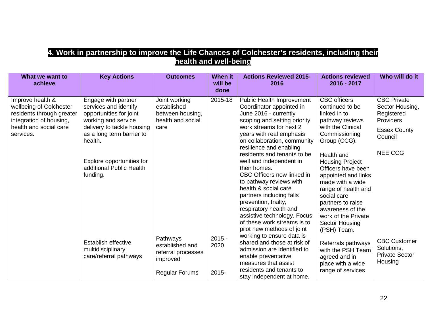#### **4. Work in partnership to improve the Life Chances of Colchester's residents, including their health and well-being**

| What we want to<br>achieve                                                                                                                 | <b>Key Actions</b>                                                                                                                                                                                                                        | <b>Outcomes</b>                                                                        | <b>When it</b><br>will be<br>done | <b>Actions Reviewed 2015-</b><br>2016                                                                                                                                                                                                                                                                                                                                                                                                                                                                   | <b>Actions reviewed</b><br>2016 - 2017                                                                                                                                                                                                                                                                                                         | Who will do it                                                                                                       |
|--------------------------------------------------------------------------------------------------------------------------------------------|-------------------------------------------------------------------------------------------------------------------------------------------------------------------------------------------------------------------------------------------|----------------------------------------------------------------------------------------|-----------------------------------|---------------------------------------------------------------------------------------------------------------------------------------------------------------------------------------------------------------------------------------------------------------------------------------------------------------------------------------------------------------------------------------------------------------------------------------------------------------------------------------------------------|------------------------------------------------------------------------------------------------------------------------------------------------------------------------------------------------------------------------------------------------------------------------------------------------------------------------------------------------|----------------------------------------------------------------------------------------------------------------------|
| Improve health &<br>wellbeing of Colchester<br>residents through greater<br>integration of housing,<br>health and social care<br>services. | Engage with partner<br>services and identify<br>opportunities for joint<br>working and service<br>delivery to tackle housing<br>as a long term barrier to<br>health.<br>Explore opportunities for<br>additional Public Health<br>funding. | Joint working<br>established<br>between housing,<br>health and social<br>care          | 2015-18                           | Public Health Improvement<br>Coordinator appointed in<br>June 2016 - currently<br>scoping and setting priority<br>work streams for next 2<br>years with real emphasis<br>on collaboration, community<br>resilience and enabling<br>residents and tenants to be<br>well and independent in<br>their homes.<br>CBC Officers now linked in<br>to pathway reviews with<br>health & social care<br>partners including falls<br>prevention, frailty,<br>respiratory health and<br>assistive technology. Focus | <b>CBC</b> officers<br>continued to be<br>linked in to<br>pathway reviews<br>with the Clinical<br>Commissioning<br>Group (CCG).<br>Health and<br><b>Housing Project</b><br>Officers have been<br>appointed and links<br>made with a wide<br>range of health and<br>social care<br>partners to raise<br>awareness of the<br>work of the Private | <b>CBC</b> Private<br>Sector Housing,<br>Registered<br>Providers<br><b>Essex County</b><br>Council<br><b>NEE CCG</b> |
|                                                                                                                                            | Establish effective<br>multidisciplinary<br>care/referral pathways                                                                                                                                                                        | Pathways<br>established and<br>referral processes<br>improved<br><b>Regular Forums</b> | $2015 -$<br>2020<br>$2015 -$      | of these work streams is to<br>pilot new methods of joint<br>working to ensure data is<br>shared and those at risk of<br>admission are identified to<br>enable preventative<br>measures that assist<br>residents and tenants to<br>stay independent at home.                                                                                                                                                                                                                                            | Sector Housing<br>(PSH) Team.<br>Referrals pathways<br>with the PSH Team<br>agreed and in<br>place with a wide<br>range of services                                                                                                                                                                                                            | <b>CBC Customer</b><br>Solutions,<br><b>Private Sector</b><br>Housing                                                |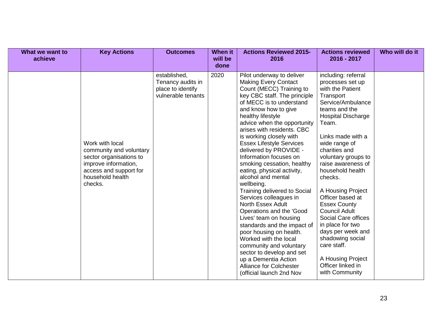| What we want to<br>achieve | <b>Key Actions</b>                                                                                                                                     | <b>Outcomes</b>                                                              | <b>When it</b><br>will be<br>done | <b>Actions Reviewed 2015-</b><br>2016                                                                                                                                                                                                                                                                                                                                                                                                                                                                                                                                                                                                                                                                                                                                                                                                                     | <b>Actions reviewed</b><br>2016 - 2017                                                                                                                                                                                                                                                                                                                                                                                                                                                                                                         | Who will do it |
|----------------------------|--------------------------------------------------------------------------------------------------------------------------------------------------------|------------------------------------------------------------------------------|-----------------------------------|-----------------------------------------------------------------------------------------------------------------------------------------------------------------------------------------------------------------------------------------------------------------------------------------------------------------------------------------------------------------------------------------------------------------------------------------------------------------------------------------------------------------------------------------------------------------------------------------------------------------------------------------------------------------------------------------------------------------------------------------------------------------------------------------------------------------------------------------------------------|------------------------------------------------------------------------------------------------------------------------------------------------------------------------------------------------------------------------------------------------------------------------------------------------------------------------------------------------------------------------------------------------------------------------------------------------------------------------------------------------------------------------------------------------|----------------|
|                            | Work with local<br>community and voluntary<br>sector organisations to<br>improve information,<br>access and support for<br>household health<br>checks. | established,<br>Tenancy audits in<br>place to identify<br>vulnerable tenants | 2020                              | Pilot underway to deliver<br><b>Making Every Contact</b><br>Count (MECC) Training to<br>key CBC staff. The principle<br>of MECC is to understand<br>and know how to give<br>healthy lifestyle<br>advice when the opportunity<br>arises with residents. CBC<br>is working closely with<br><b>Essex Lifestyle Services</b><br>delivered by PROVIDE -<br>Information focuses on<br>smoking cessation, healthy<br>eating, physical activity,<br>alcohol and mental<br>wellbeing.<br>Training delivered to Social<br>Services colleagues in<br><b>North Essex Adult</b><br>Operations and the 'Good<br>Lives' team on housing<br>standards and the impact of<br>poor housing on health.<br>Worked with the local<br>community and voluntary<br>sector to develop and set<br>up a Dementia Action<br><b>Alliance for Colchester</b><br>(official launch 2nd Nov | including: referral<br>processes set up<br>with the Patient<br>Transport<br>Service/Ambulance<br>teams and the<br><b>Hospital Discharge</b><br>Team.<br>Links made with a<br>wide range of<br>charities and<br>voluntary groups to<br>raise awareness of<br>household health<br>checks.<br>A Housing Project<br>Officer based at<br><b>Essex County</b><br><b>Council Adult</b><br>Social Care offices<br>in place for two<br>days per week and<br>shadowing social<br>care staff.<br>A Housing Project<br>Officer linked in<br>with Community |                |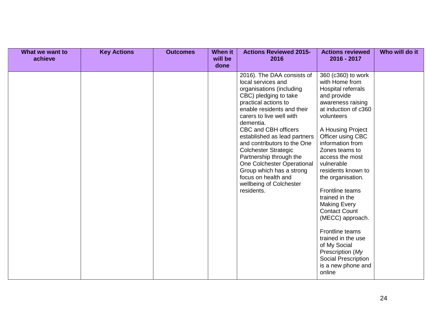| What we want to<br>achieve | <b>Key Actions</b> | <b>Outcomes</b> | <b>When it</b><br>will be<br>done | <b>Actions Reviewed 2015-</b><br>2016                                                                                                                                                                                                                                                                                                                                                                                                                                           | <b>Actions reviewed</b><br>2016 - 2017                                                                                                                                                                                                                                                                                                                                                                                                                                                                                                       | Who will do it |
|----------------------------|--------------------|-----------------|-----------------------------------|---------------------------------------------------------------------------------------------------------------------------------------------------------------------------------------------------------------------------------------------------------------------------------------------------------------------------------------------------------------------------------------------------------------------------------------------------------------------------------|----------------------------------------------------------------------------------------------------------------------------------------------------------------------------------------------------------------------------------------------------------------------------------------------------------------------------------------------------------------------------------------------------------------------------------------------------------------------------------------------------------------------------------------------|----------------|
|                            |                    |                 |                                   | 2016). The DAA consists of<br>local services and<br>organisations (including<br>CBC) pledging to take<br>practical actions to<br>enable residents and their<br>carers to live well with<br>dementia.<br>CBC and CBH officers<br>established as lead partners<br>and contributors to the One<br><b>Colchester Strategic</b><br>Partnership through the<br>One Colchester Operational<br>Group which has a strong<br>focus on health and<br>wellbeing of Colchester<br>residents. | 360 (c360) to work<br>with Home from<br>Hospital referrals<br>and provide<br>awareness raising<br>at induction of c360<br>volunteers<br>A Housing Project<br>Officer using CBC<br>information from<br>Zones teams to<br>access the most<br>vulnerable<br>residents known to<br>the organisation.<br>Frontline teams<br>trained in the<br><b>Making Every</b><br><b>Contact Count</b><br>(MECC) approach.<br>Frontline teams<br>trained in the use<br>of My Social<br>Prescription (My<br>Social Prescription<br>is a new phone and<br>online |                |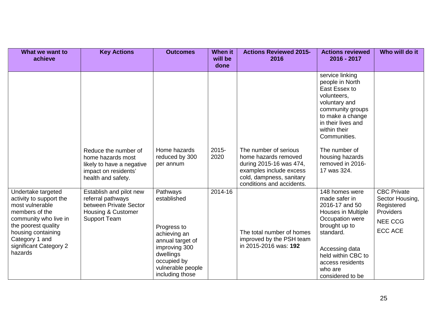| What we want to<br>achieve                                                                                                                                                                                      | <b>Key Actions</b>                                                                                                   | <b>Outcomes</b>                                                                                                                                                 | <b>When it</b><br>will be<br>done | <b>Actions Reviewed 2015-</b><br>2016                                                                                                                        | <b>Actions reviewed</b><br>2016 - 2017                                                                                                                                                                                     | Who will do it                                                                                       |
|-----------------------------------------------------------------------------------------------------------------------------------------------------------------------------------------------------------------|----------------------------------------------------------------------------------------------------------------------|-----------------------------------------------------------------------------------------------------------------------------------------------------------------|-----------------------------------|--------------------------------------------------------------------------------------------------------------------------------------------------------------|----------------------------------------------------------------------------------------------------------------------------------------------------------------------------------------------------------------------------|------------------------------------------------------------------------------------------------------|
|                                                                                                                                                                                                                 |                                                                                                                      |                                                                                                                                                                 |                                   |                                                                                                                                                              | service linking<br>people in North<br>East Essex to<br>volunteers,<br>voluntary and<br>community groups<br>to make a change<br>in their lives and<br>within their<br>Communities.                                          |                                                                                                      |
|                                                                                                                                                                                                                 | Reduce the number of<br>home hazards most<br>likely to have a negative<br>impact on residents'<br>health and safety. | Home hazards<br>reduced by 300<br>per annum                                                                                                                     | $2015 -$<br>2020                  | The number of serious<br>home hazards removed<br>during 2015-16 was 474,<br>examples include excess<br>cold, dampness, sanitary<br>conditions and accidents. | The number of<br>housing hazards<br>removed in 2016-<br>17 was 324.                                                                                                                                                        |                                                                                                      |
| Undertake targeted<br>activity to support the<br>most vulnerable<br>members of the<br>community who live in<br>the poorest quality<br>housing containing<br>Category 1 and<br>significant Category 2<br>hazards | Establish and pilot new<br>referral pathways<br>between Private Sector<br>Housing & Customer<br><b>Support Team</b>  | Pathways<br>established<br>Progress to<br>achieving an<br>annual target of<br>improving 300<br>dwellings<br>occupied by<br>vulnerable people<br>including those | 2014-16                           | The total number of homes<br>improved by the PSH team<br>in 2015-2016 was: 192                                                                               | 148 homes were<br>made safer in<br>2016-17 and 50<br><b>Houses in Multiple</b><br>Occupation were<br>brought up to<br>standard.<br>Accessing data<br>held within CBC to<br>access residents<br>who are<br>considered to be | <b>CBC Private</b><br>Sector Housing,<br>Registered<br>Providers<br><b>NEE CCG</b><br><b>ECC ACE</b> |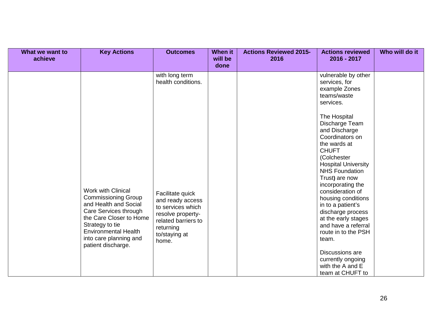| with long term<br>vulnerable by other<br>health conditions.<br>services, for<br>example Zones<br>teams/waste<br>services.<br>The Hospital<br>Discharge Team<br>and Discharge<br>Coordinators on                                                                                                                                                                                                                                                                                                                                                                                                                                                                                                                                                                                | Who will do it |
|--------------------------------------------------------------------------------------------------------------------------------------------------------------------------------------------------------------------------------------------------------------------------------------------------------------------------------------------------------------------------------------------------------------------------------------------------------------------------------------------------------------------------------------------------------------------------------------------------------------------------------------------------------------------------------------------------------------------------------------------------------------------------------|----------------|
| the wards at<br><b>CHUFT</b><br>(Colchester<br><b>Hospital University</b><br><b>NHS Foundation</b><br>Trust) are now<br>incorporating the<br>Work with Clinical<br>consideration of<br>Facilitate quick<br><b>Commissioning Group</b><br>housing conditions<br>and ready access<br>and Health and Social<br>in to a patient's<br>to services which<br>Care Services through<br>discharge process<br>resolve property-<br>the Care Closer to Home<br>at the early stages<br>related barriers to<br>Strategy to tie<br>and have a referral<br>returning<br><b>Environmental Health</b><br>route in to the PSH<br>to/staying at<br>into care planning and<br>team.<br>home.<br>patient discharge.<br>Discussions are<br>currently ongoing<br>with the A and E<br>team at CHUFT to |                |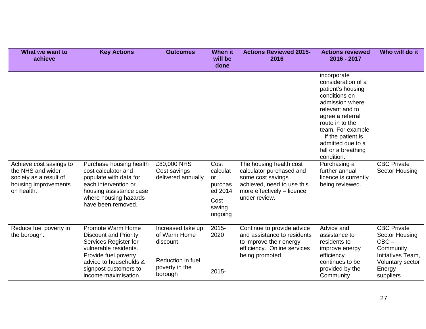| What we want to<br>achieve                                                                     | <b>Key Actions</b>                                                                                                                                                                                    | <b>Outcomes</b>                                                                                  | When it<br>will be<br>done           | <b>Actions Reviewed 2015-</b><br>2016                                                                                                 | <b>Actions reviewed</b><br>2016 - 2017                                                                                                                                                                                                                                                                                                    | Who will do it                                                                                                               |
|------------------------------------------------------------------------------------------------|-------------------------------------------------------------------------------------------------------------------------------------------------------------------------------------------------------|--------------------------------------------------------------------------------------------------|--------------------------------------|---------------------------------------------------------------------------------------------------------------------------------------|-------------------------------------------------------------------------------------------------------------------------------------------------------------------------------------------------------------------------------------------------------------------------------------------------------------------------------------------|------------------------------------------------------------------------------------------------------------------------------|
| Achieve cost savings to<br>the NHS and wider<br>society as a result of<br>housing improvements | Purchase housing health<br>cost calculator and<br>populate with data for<br>each intervention or                                                                                                      | £80,000 NHS<br>Cost savings<br>delivered annually                                                | Cost<br>calculat<br>or<br>purchas    | The housing health cost<br>calculator purchased and<br>some cost savings<br>achieved, need to use this                                | incorporate<br>consideration of a<br>patient's housing<br>conditions on<br>admission where<br>relevant and to<br>agree a referral<br>route in to the<br>team. For example<br>$-$ if the patient is<br>admitted due to a<br>fall or a breathing<br>condition.<br>Purchasing a<br>further annual<br>licence is currently<br>being reviewed. | <b>CBC Private</b><br>Sector Housing                                                                                         |
| on health.                                                                                     | housing assistance case<br>where housing hazards<br>have been removed.                                                                                                                                |                                                                                                  | ed 2014<br>Cost<br>saving<br>ongoing | more effectively - licence<br>under review.                                                                                           |                                                                                                                                                                                                                                                                                                                                           |                                                                                                                              |
| Reduce fuel poverty in<br>the borough.                                                         | Promote Warm Home<br><b>Discount and Priority</b><br>Services Register for<br>vulnerable residents.<br>Provide fuel poverty<br>advice to households &<br>signpost customers to<br>income maximisation | Increased take up<br>of Warm Home<br>discount.<br>Reduction in fuel<br>poverty in the<br>borough | 2015-<br>2020<br>$2015 -$            | Continue to provide advice<br>and assistance to residents<br>to improve their energy<br>efficiency. Online services<br>being promoted | Advice and<br>assistance to<br>residents to<br>improve energy<br>efficiency<br>continues to be<br>provided by the<br>Community                                                                                                                                                                                                            | <b>CBC Private</b><br>Sector Housing<br>$CBC -$<br>Community<br>Initiatives Team,<br>Voluntary sector<br>Energy<br>suppliers |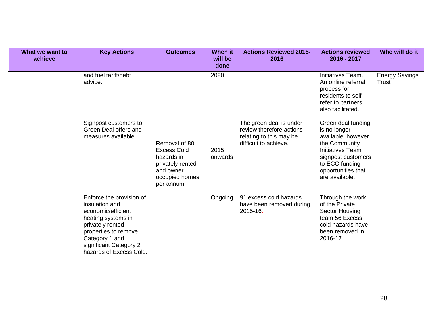| What we want to<br>achieve | <b>Key Actions</b>                                                                                                                                                                                        | <b>Outcomes</b>                                                                                                    | <b>When it</b><br>will be<br>done | <b>Actions Reviewed 2015-</b><br>2016                                                                   | <b>Actions reviewed</b><br>2016 - 2017                                                                                                                                               | Who will do it                 |
|----------------------------|-----------------------------------------------------------------------------------------------------------------------------------------------------------------------------------------------------------|--------------------------------------------------------------------------------------------------------------------|-----------------------------------|---------------------------------------------------------------------------------------------------------|--------------------------------------------------------------------------------------------------------------------------------------------------------------------------------------|--------------------------------|
|                            | and fuel tariff/debt<br>advice.                                                                                                                                                                           |                                                                                                                    | 2020                              |                                                                                                         | Initiatives Team.<br>An online referral<br>process for<br>residents to self-<br>refer to partners<br>also facilitated.                                                               | <b>Energy Savings</b><br>Trust |
|                            | Signpost customers to<br>Green Deal offers and<br>measures available.                                                                                                                                     | Removal of 80<br><b>Excess Cold</b><br>hazards in<br>privately rented<br>and owner<br>occupied homes<br>per annum. | 2015<br>onwards                   | The green deal is under<br>review therefore actions<br>relating to this may be<br>difficult to achieve. | Green deal funding<br>is no longer<br>available, however<br>the Community<br><b>Initiatives Team</b><br>signpost customers<br>to ECO funding<br>opportunities that<br>are available. |                                |
|                            | Enforce the provision of<br>insulation and<br>economic/efficient<br>heating systems in<br>privately rented<br>properties to remove<br>Category 1 and<br>significant Category 2<br>hazards of Excess Cold. |                                                                                                                    | Ongoing                           | 91 excess cold hazards<br>have been removed during<br>2015-16.                                          | Through the work<br>of the Private<br>Sector Housing<br>team 56 Excess<br>cold hazards have<br>been removed in<br>2016-17                                                            |                                |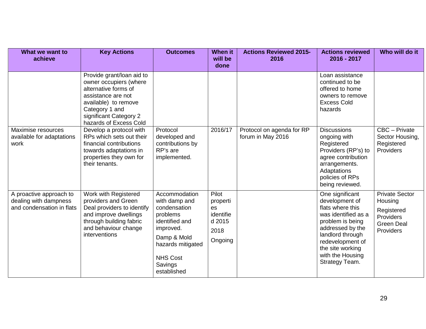| What we want to<br>achieve                                                    | <b>Key Actions</b>                                                                                                                                                                              | <b>Outcomes</b>                                                                                                                                                            | <b>When it</b><br>will be<br>done                                 | <b>Actions Reviewed 2015-</b><br>2016          | <b>Actions reviewed</b><br>2016 - 2017                                                                                                                                                                                 | Who will do it                                                                                |
|-------------------------------------------------------------------------------|-------------------------------------------------------------------------------------------------------------------------------------------------------------------------------------------------|----------------------------------------------------------------------------------------------------------------------------------------------------------------------------|-------------------------------------------------------------------|------------------------------------------------|------------------------------------------------------------------------------------------------------------------------------------------------------------------------------------------------------------------------|-----------------------------------------------------------------------------------------------|
|                                                                               | Provide grant/loan aid to<br>owner occupiers (where<br>alternative forms of<br>assistance are not<br>available) to remove<br>Category 1 and<br>significant Category 2<br>hazards of Excess Cold |                                                                                                                                                                            |                                                                   |                                                | Loan assistance<br>continued to be<br>offered to home<br>owners to remove<br><b>Excess Cold</b><br>hazards                                                                                                             |                                                                                               |
| Maximise resources<br>available for adaptations<br>work                       | Develop a protocol with<br>RPs which sets out their<br>financial contributions<br>towards adaptations in<br>properties they own for<br>their tenants.                                           | Protocol<br>developed and<br>contributions by<br>RP's are<br>implemented.                                                                                                  | 2016/17                                                           | Protocol on agenda for RP<br>forum in May 2016 | <b>Discussions</b><br>ongoing with<br>Registered<br>Providers (RP's) to<br>agree contribution<br>arrangements.<br>Adaptations<br>policies of RPs<br>being reviewed.                                                    | CBC - Private<br>Sector Housing,<br>Registered<br>Providers                                   |
| A proactive approach to<br>dealing with dampness<br>and condensation in flats | Work with Registered<br>providers and Green<br>Deal providers to identify<br>and improve dwellings<br>through building fabric<br>and behaviour change<br>interventions                          | Accommodation<br>with damp and<br>condensation<br>problems<br>identified and<br>improved.<br>Damp & Mold<br>hazards mitigated<br><b>NHS Cost</b><br>Savings<br>established | Pilot<br>properti<br>es<br>identifie<br>d 2015<br>2018<br>Ongoing |                                                | One significant<br>development of<br>flats where this<br>was identified as a<br>problem is being<br>addressed by the<br>landlord through<br>redevelopment of<br>the site working<br>with the Housing<br>Strategy Team. | <b>Private Sector</b><br>Housing<br>Registered<br>Providers<br><b>Green Deal</b><br>Providers |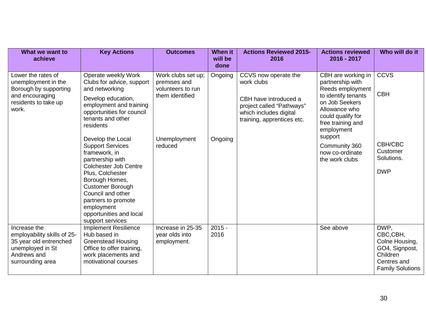| What we want to<br>achieve                                                                                                   | <b>Key Actions</b>                                                                                                                                                                                                                                                                                                                                                                                                                                                                | <b>Outcomes</b>                                                                                       | <b>When it</b><br>will be<br>done | <b>Actions Reviewed 2015-</b><br>2016                                                                                                            | <b>Actions reviewed</b><br>2016 - 2017                                                                                                                                                                                                        | Who will do it                                                                                             |
|------------------------------------------------------------------------------------------------------------------------------|-----------------------------------------------------------------------------------------------------------------------------------------------------------------------------------------------------------------------------------------------------------------------------------------------------------------------------------------------------------------------------------------------------------------------------------------------------------------------------------|-------------------------------------------------------------------------------------------------------|-----------------------------------|--------------------------------------------------------------------------------------------------------------------------------------------------|-----------------------------------------------------------------------------------------------------------------------------------------------------------------------------------------------------------------------------------------------|------------------------------------------------------------------------------------------------------------|
| Lower the rates of<br>unemployment in the<br>Borough by supporting<br>and encouraging<br>residents to take up<br>work.       | Operate weekly Work<br>Clubs for advice, support<br>and networking<br>Develop education,<br>employment and training<br>opportunities for council<br>tenants and other<br>residents<br>Develop the Local<br><b>Support Services</b><br>framework, in<br>partnership with<br><b>Colchester Job Centre</b><br>Plus, Colchester<br>Borough Homes,<br><b>Customer Borough</b><br>Council and other<br>partners to promote<br>employment<br>opportunities and local<br>support services | Work clubs set up;<br>premises and<br>volunteers to run<br>them identified<br>Unemployment<br>reduced | Ongoing<br>Ongoing                | CCVS now operate the<br>work clubs<br>CBH have introduced a<br>project called "Pathways"<br>which includes digital<br>training, apprentices etc. | CBH are working in<br>partnership with<br>Reeds employment<br>to identify tenants<br>on Job Seekers<br>Allowance who<br>could qualify for<br>free training and<br>employment<br>support<br>Community 360<br>now co-ordinate<br>the work clubs | <b>CCVS</b><br><b>CBH</b><br>CBH/CBC<br>Customer<br>Solutions.<br><b>DWP</b>                               |
| Increase the<br>employability skills of 25-<br>35 year old entrenched<br>unemployed in St<br>Andrews and<br>surrounding area | <b>Implement Resilience</b><br>Hub based in<br><b>Greenstead Housing</b><br>Office to offer training,<br>work placements and<br>motivational courses                                                                                                                                                                                                                                                                                                                              | Increase in 25-35<br>year olds into<br>employment.                                                    | $2015 -$<br>2016                  |                                                                                                                                                  | See above                                                                                                                                                                                                                                     | DWP,<br>CBC,CBH,<br>Colne Housing,<br>GO4, Signpost,<br>Children<br>Centres and<br><b>Family Solutions</b> |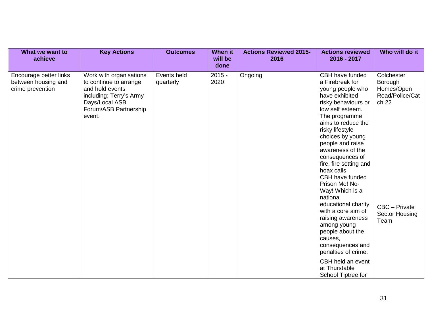| What we want to<br>achieve                                        | <b>Key Actions</b>                                                                                                                                   | <b>Outcomes</b>          | When it<br>will be<br>done | <b>Actions Reviewed 2015-</b><br>2016 | <b>Actions reviewed</b><br>$2016 - 2017$                                                                                                                                                                                                                                                                                                                                                                                                                                                                                                                  | Who will do it                                                                                                    |
|-------------------------------------------------------------------|------------------------------------------------------------------------------------------------------------------------------------------------------|--------------------------|----------------------------|---------------------------------------|-----------------------------------------------------------------------------------------------------------------------------------------------------------------------------------------------------------------------------------------------------------------------------------------------------------------------------------------------------------------------------------------------------------------------------------------------------------------------------------------------------------------------------------------------------------|-------------------------------------------------------------------------------------------------------------------|
| Encourage better links<br>between housing and<br>crime prevention | Work with organisations<br>to continue to arrange<br>and hold events<br>including; Terry's Army<br>Days/Local ASB<br>Forum/ASB Partnership<br>event. | Events held<br>quarterly | $2015 -$<br>2020           | Ongoing                               | CBH have funded<br>a Firebreak for<br>young people who<br>have exhibited<br>risky behaviours or<br>low self esteem.<br>The programme<br>aims to reduce the<br>risky lifestyle<br>choices by young<br>people and raise<br>awareness of the<br>consequences of<br>fire, fire setting and<br>hoax calls.<br>CBH have funded<br>Prison Me! No-<br>Way! Which is a<br>national<br>educational charity<br>with a core aim of<br>raising awareness<br>among young<br>people about the<br>causes,<br>consequences and<br>penalties of crime.<br>CBH held an event | Colchester<br>Borough<br>Homes/Open<br>Road/Police/Cat<br>ch 22<br>CBC - Private<br><b>Sector Housing</b><br>Team |
|                                                                   |                                                                                                                                                      |                          |                            |                                       | at Thurstable<br>School Tiptree for                                                                                                                                                                                                                                                                                                                                                                                                                                                                                                                       |                                                                                                                   |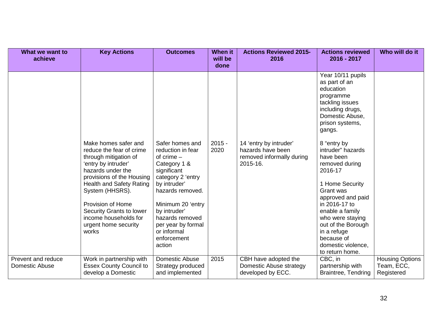| What we want to<br>achieve           | <b>Key Actions</b>                                                                                                                                                                                                                                                                                                  | <b>Outcomes</b>                                                                                                                                                                                                                                                    | <b>When it</b><br>will be | <b>Actions Reviewed 2015-</b><br>2016                                                | <b>Actions reviewed</b><br>2016 - 2017                                                                                                                                                                                                                                                                                                                                                                                                     | Who will do it                                     |
|--------------------------------------|---------------------------------------------------------------------------------------------------------------------------------------------------------------------------------------------------------------------------------------------------------------------------------------------------------------------|--------------------------------------------------------------------------------------------------------------------------------------------------------------------------------------------------------------------------------------------------------------------|---------------------------|--------------------------------------------------------------------------------------|--------------------------------------------------------------------------------------------------------------------------------------------------------------------------------------------------------------------------------------------------------------------------------------------------------------------------------------------------------------------------------------------------------------------------------------------|----------------------------------------------------|
|                                      | Make homes safer and<br>reduce the fear of crime<br>through mitigation of<br>'entry by intruder'<br>hazards under the<br>provisions of the Housing<br><b>Health and Safety Rating</b><br>System (HHSRS).<br>Provision of Home<br>Security Grants to lower<br>income households for<br>urgent home security<br>works | Safer homes and<br>reduction in fear<br>of crime $-$<br>Category 1 &<br>significant<br>category 2 'entry<br>by intruder'<br>hazards removed.<br>Minimum 20 'entry<br>by intruder'<br>hazards removed<br>per year by formal<br>or informal<br>enforcement<br>action | done<br>$2015 -$<br>2020  | 14 'entry by intruder'<br>hazards have been<br>removed informally during<br>2015-16. | Year 10/11 pupils<br>as part of an<br>education<br>programme<br>tackling issues<br>including drugs,<br>Domestic Abuse,<br>prison systems,<br>gangs.<br>8 "entry by<br>intruder" hazards<br>have been<br>removed during<br>2016-17<br>1 Home Security<br>Grant was<br>approved and paid<br>in 2016-17 to<br>enable a family<br>who were staying<br>out of the Borough<br>in a refuge<br>because of<br>domestic violence,<br>to return home. |                                                    |
| Prevent and reduce<br>Domestic Abuse | Work in partnership with<br><b>Essex County Council to</b><br>develop a Domestic                                                                                                                                                                                                                                    | Domestic Abuse<br>Strategy produced<br>and implemented                                                                                                                                                                                                             | 2015                      | CBH have adopted the<br>Domestic Abuse strategy<br>developed by ECC.                 | CBC, in<br>partnership with<br>Braintree, Tendring                                                                                                                                                                                                                                                                                                                                                                                         | <b>Housing Options</b><br>Team, ECC,<br>Registered |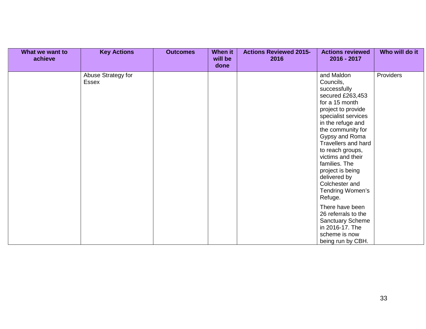| What we want to<br>achieve | <b>Key Actions</b>          | <b>Outcomes</b> | <b>When it</b><br>will be<br>done | <b>Actions Reviewed 2015-</b><br>2016 | <b>Actions reviewed</b><br>2016 - 2017                                                                                                                                                                                                                                                                                                                       | Who will do it |
|----------------------------|-----------------------------|-----------------|-----------------------------------|---------------------------------------|--------------------------------------------------------------------------------------------------------------------------------------------------------------------------------------------------------------------------------------------------------------------------------------------------------------------------------------------------------------|----------------|
|                            | Abuse Strategy for<br>Essex |                 |                                   |                                       | and Maldon<br>Councils,<br>successfully<br>secured £263,453<br>for a 15 month<br>project to provide<br>specialist services<br>in the refuge and<br>the community for<br>Gypsy and Roma<br>Travellers and hard<br>to reach groups,<br>victims and their<br>families. The<br>project is being<br>delivered by<br>Colchester and<br>Tendring Women's<br>Refuge. | Providers      |
|                            |                             |                 |                                   |                                       | There have been<br>26 referrals to the<br><b>Sanctuary Scheme</b><br>in 2016-17. The<br>scheme is now<br>being run by CBH.                                                                                                                                                                                                                                   |                |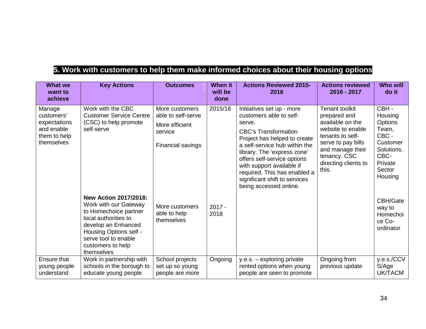## **5. Work with customers to help them make informed choices about their housing options**

| <b>What we</b><br>want to<br>achieve                                             | <b>Key Actions</b>                                                                                                                                                                                                 | <b>Outcomes</b>                                                                        | <b>When it</b><br>will be<br>done | <b>Actions Reviewed 2015-</b><br>2016                                                                                                                                                                                                                                                                                                                | <b>Actions reviewed</b><br>2016 - 2017                                                                                                                                                        | <b>Who will</b><br>do it                                                                                       |
|----------------------------------------------------------------------------------|--------------------------------------------------------------------------------------------------------------------------------------------------------------------------------------------------------------------|----------------------------------------------------------------------------------------|-----------------------------------|------------------------------------------------------------------------------------------------------------------------------------------------------------------------------------------------------------------------------------------------------------------------------------------------------------------------------------------------------|-----------------------------------------------------------------------------------------------------------------------------------------------------------------------------------------------|----------------------------------------------------------------------------------------------------------------|
| Manage<br>customers'<br>expectations<br>and enable<br>them to help<br>themselves | Work with the CBC<br><b>Customer Service Centre</b><br>(CSC) to help promote<br>self-serve                                                                                                                         | More customers<br>able to self-serve<br>More efficient<br>service<br>Financial savings | 2015/16                           | Initiatives set up - more<br>customers able to self-<br>serve.<br><b>CBC's Transformation</b><br>Project has helped to create<br>a self-service hub within the<br>library. The 'express zone'<br>offers self-service options<br>with support available if<br>required. This has enabled a<br>significant shift to services<br>being accessed online. | <b>Tenant toolkit</b><br>prepared and<br>available on the<br>website to enable<br>tenants to self-<br>serve to pay bills<br>and manage their<br>tenancy. CSC<br>directing clients to<br>this. | CBH-<br>Housing<br>Options<br>Team,<br>CBC -<br>Customer<br>Solutions,<br>CBC-<br>Private<br>Sector<br>Housing |
|                                                                                  | <b>New Action 2017/2018:</b><br>Work with our Gateway<br>to Homechoice partner<br>local authorities to<br>develop an Enhanced<br>Housing Options self -<br>serve tool to enable<br>customers to help<br>themselves | More customers<br>able to help<br>themselves                                           | $2017 -$<br>2018                  |                                                                                                                                                                                                                                                                                                                                                      |                                                                                                                                                                                               | CBH/Gate<br>way to<br>Homechoi<br>ce Co-<br>ordinator                                                          |
| Ensure that<br>young people<br>understand                                        | Work in partnership with<br>schools in the borough to<br>educate young people                                                                                                                                      | School projects<br>set up so young<br>people are more                                  | Ongoing                           | y.e.s. - exploring private<br>rented options when young<br>people are seen to promote                                                                                                                                                                                                                                                                | Ongoing from<br>previous update                                                                                                                                                               | y.e.s./CCV<br>S/Age<br><b>UK/TACM</b>                                                                          |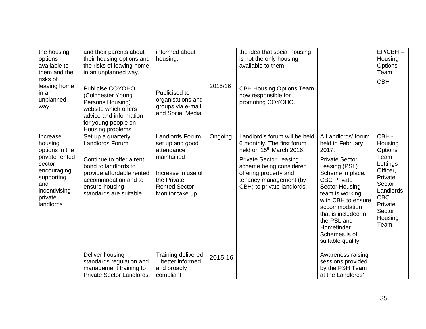| the housing<br>options<br>available to<br>them and the<br>risks of<br>leaving home<br>in an<br>unplanned<br>way                                 | and their parents about<br>their housing options and<br>the risks of leaving home<br>in an unplanned way.<br>Publicise COYOHO<br>(Colchester Young<br>Persons Housing)<br>website which offers<br>advice and information<br>for young people on<br>Housing problems. | informed about<br>housing.<br>Publicised to<br>organisations and<br>groups via e-mail<br>and Social Media                                       | 2015/16 | the idea that social housing<br>is not the only housing<br>available to them.<br><b>CBH Housing Options Team</b><br>now responsible for<br>promoting COYOHO.                                                                                     |                                                                                                                                                                                                                                                                                                           | $EP/CBH -$<br>Housing<br>Options<br>Team<br><b>CBH</b>                                                                                            |
|-------------------------------------------------------------------------------------------------------------------------------------------------|----------------------------------------------------------------------------------------------------------------------------------------------------------------------------------------------------------------------------------------------------------------------|-------------------------------------------------------------------------------------------------------------------------------------------------|---------|--------------------------------------------------------------------------------------------------------------------------------------------------------------------------------------------------------------------------------------------------|-----------------------------------------------------------------------------------------------------------------------------------------------------------------------------------------------------------------------------------------------------------------------------------------------------------|---------------------------------------------------------------------------------------------------------------------------------------------------|
| Increase<br>housing<br>options in the<br>private rented<br>sector<br>encouraging,<br>supporting<br>and<br>incentivising<br>private<br>landlords | Set up a quarterly<br>Landlords Forum<br>Continue to offer a rent<br>bond to landlords to<br>provide affordable rented<br>accommodation and to<br>ensure housing<br>standards are suitable.                                                                          | <b>Landlords Forum</b><br>set up and good<br>attendance<br>maintained<br>Increase in use of<br>the Private<br>Rented Sector-<br>Monitor take up | Ongoing | Landlord's forum will be held<br>6 monthly. The first forum<br>held on 15 <sup>th</sup> March 2016.<br><b>Private Sector Leasing</b><br>scheme being considered<br>offering property and<br>tenancy management (by<br>CBH) to private landlords. | A Landlords' forum<br>held in February<br>2017.<br><b>Private Sector</b><br>Leasing (PSL)<br>Scheme in place.<br><b>CBC Private</b><br>Sector Housing<br>team is working<br>with CBH to ensure<br>accommodation<br>that is included in<br>the PSL and<br>Homefinder<br>Schemes is of<br>suitable quality. | CBH-<br>Housing<br>Options<br>Team<br>Lettings<br>Officer,<br>Private<br>Sector<br>Landlords,<br>$CBC -$<br>Private<br>Sector<br>Housing<br>Team. |
|                                                                                                                                                 | Deliver housing<br>standards regulation and<br>management training to<br>Private Sector Landlords.                                                                                                                                                                   | Training delivered<br>- better informed<br>and broadly<br>compliant                                                                             | 2015-16 |                                                                                                                                                                                                                                                  | Awareness raising<br>sessions provided<br>by the PSH Team<br>at the Landlords'                                                                                                                                                                                                                            |                                                                                                                                                   |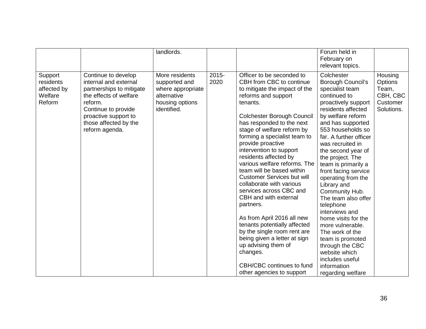|                                                          |                                                                                                                                                                                                         | landlords.                                                                                            |                  |                                                                                                                                                                                                                                                                                                                                                                                                                                                                                                                                                                                                                                                                                                                                                      | Forum held in<br>February on<br>relevant topics.                                                                                                                                                                                                                                                                                                                                                                                                                                                                                                                                                                |                                                                   |
|----------------------------------------------------------|---------------------------------------------------------------------------------------------------------------------------------------------------------------------------------------------------------|-------------------------------------------------------------------------------------------------------|------------------|------------------------------------------------------------------------------------------------------------------------------------------------------------------------------------------------------------------------------------------------------------------------------------------------------------------------------------------------------------------------------------------------------------------------------------------------------------------------------------------------------------------------------------------------------------------------------------------------------------------------------------------------------------------------------------------------------------------------------------------------------|-----------------------------------------------------------------------------------------------------------------------------------------------------------------------------------------------------------------------------------------------------------------------------------------------------------------------------------------------------------------------------------------------------------------------------------------------------------------------------------------------------------------------------------------------------------------------------------------------------------------|-------------------------------------------------------------------|
| Support<br>residents<br>affected by<br>Welfare<br>Reform | Continue to develop<br>internal and external<br>partnerships to mitigate<br>the effects of welfare<br>reform.<br>Continue to provide<br>proactive support to<br>those affected by the<br>reform agenda. | More residents<br>supported and<br>where appropriate<br>alternative<br>housing options<br>identified. | $2015 -$<br>2020 | Officer to be seconded to<br>CBH from CBC to continue<br>to mitigate the impact of the<br>reforms and support<br>tenants.<br>Colchester Borough Council<br>has responded to the next<br>stage of welfare reform by<br>forming a specialist team to<br>provide proactive<br>intervention to support<br>residents affected by<br>various welfare reforms. The<br>team will be based within<br><b>Customer Services but will</b><br>collaborate with various<br>services across CBC and<br>CBH and with external<br>partners.<br>As from April 2016 all new<br>tenants potentially affected<br>by the single room rent are<br>being given a letter at sign<br>up advising them of<br>changes.<br>CBH/CBC continues to fund<br>other agencies to support | Colchester<br>Borough Council's<br>specialist team<br>continued to<br>proactively support<br>residents affected<br>by welfare reform<br>and has supported<br>553 households so<br>far. A further officer<br>was recruited in<br>the second year of<br>the project. The<br>team is primarily a<br>front facing service<br>operating from the<br>Library and<br>Community Hub.<br>The team also offer<br>telephone<br>interviews and<br>home visits for the<br>more vulnerable.<br>The work of the<br>team is promoted<br>through the CBC<br>website which<br>includes useful<br>information<br>regarding welfare | Housing<br>Options<br>Team,<br>CBH, CBC<br>Customer<br>Solutions. |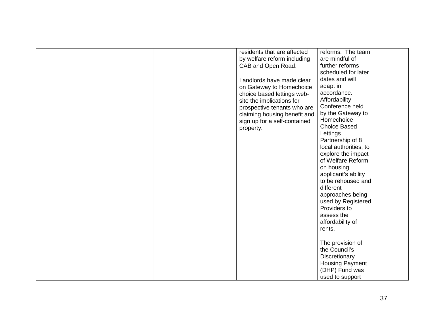|  | residents that are affected  | reforms. The team      |  |
|--|------------------------------|------------------------|--|
|  | by welfare reform including  | are mindful of         |  |
|  | CAB and Open Road.           | further reforms        |  |
|  |                              | scheduled for later    |  |
|  | Landlords have made clear    | dates and will         |  |
|  | on Gateway to Homechoice     | adapt in               |  |
|  | choice based lettings web-   | accordance.            |  |
|  | site the implications for    | Affordability          |  |
|  | prospective tenants who are  | Conference held        |  |
|  | claiming housing benefit and | by the Gateway to      |  |
|  | sign up for a self-contained | Homechoice             |  |
|  | property.                    | <b>Choice Based</b>    |  |
|  |                              | Lettings               |  |
|  |                              | Partnership of 8       |  |
|  |                              | local authorities, to  |  |
|  |                              | explore the impact     |  |
|  |                              | of Welfare Reform      |  |
|  |                              | on housing             |  |
|  |                              | applicant's ability    |  |
|  |                              | to be rehoused and     |  |
|  |                              | different              |  |
|  |                              | approaches being       |  |
|  |                              | used by Registered     |  |
|  |                              | Providers to           |  |
|  |                              | assess the             |  |
|  |                              | affordability of       |  |
|  |                              | rents.                 |  |
|  |                              |                        |  |
|  |                              | The provision of       |  |
|  |                              | the Council's          |  |
|  |                              | Discretionary          |  |
|  |                              | <b>Housing Payment</b> |  |
|  |                              | (DHP) Fund was         |  |
|  |                              | used to support        |  |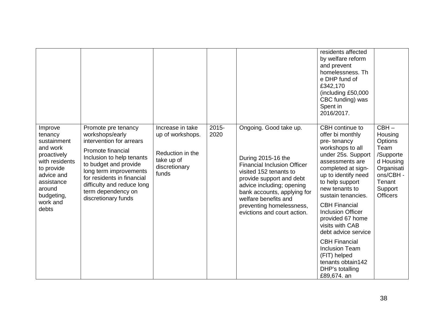|                                                                                                                                                                       |                                                                                                                                                                                                                                                                                  |                                                                                                  |               |                                                                                                                                                                                                                                                                                         | residents affected<br>by welfare reform<br>and prevent<br>homelessness. Th<br>e DHP fund of<br>£342,170<br>(including £50,000<br>CBC funding) was<br>Spent in<br>2016/2017.                                                                                                                                                                                                                                                                                       |                                                                                                                                    |
|-----------------------------------------------------------------------------------------------------------------------------------------------------------------------|----------------------------------------------------------------------------------------------------------------------------------------------------------------------------------------------------------------------------------------------------------------------------------|--------------------------------------------------------------------------------------------------|---------------|-----------------------------------------------------------------------------------------------------------------------------------------------------------------------------------------------------------------------------------------------------------------------------------------|-------------------------------------------------------------------------------------------------------------------------------------------------------------------------------------------------------------------------------------------------------------------------------------------------------------------------------------------------------------------------------------------------------------------------------------------------------------------|------------------------------------------------------------------------------------------------------------------------------------|
| Improve<br>tenancy<br>sustainment<br>and work<br>proactively<br>with residents<br>to provide<br>advice and<br>assistance<br>around<br>budgeting,<br>work and<br>debts | Promote pre tenancy<br>workshops/early<br>intervention for arrears<br>Promote financial<br>Inclusion to help tenants<br>to budget and provide<br>long term improvements<br>for residents in financial<br>difficulty and reduce long<br>term dependency on<br>discretionary funds | Increase in take<br>up of workshops.<br>Reduction in the<br>take up of<br>discretionary<br>funds | 2015-<br>2020 | Ongoing. Good take up.<br>During 2015-16 the<br><b>Financial Inclusion Officer</b><br>visited 152 tenants to<br>provide support and debt<br>advice including; opening<br>bank accounts, applying for<br>welfare benefits and<br>preventing homelessness,<br>evictions and court action. | CBH continue to<br>offer bi monthly<br>pre-tenancy<br>workshops to all<br>under 25s. Support<br>assessments are<br>completed at sign-<br>up to identify need<br>to help support<br>new tenants to<br>sustain tenancies.<br><b>CBH Financial</b><br><b>Inclusion Officer</b><br>provided 67 home<br>visits with CAB<br>debt advice service<br><b>CBH Financial</b><br><b>Inclusion Team</b><br>(FIT) helped<br>tenants obtain142<br>DHP's totalling<br>£89,674. an | $CBH -$<br>Housing<br>Options<br>Team<br>/Supporte<br>d Housing<br>Organisati<br>ons/CBH -<br>Tenant<br>Support<br><b>Officers</b> |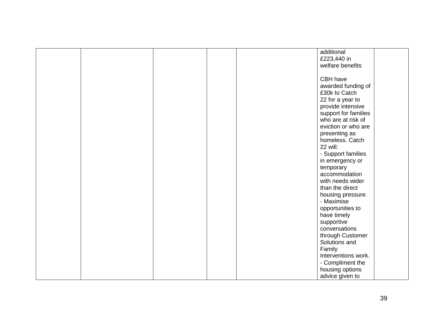|  | additional           |
|--|----------------------|
|  | £223,440 in          |
|  | welfare benefits     |
|  |                      |
|  | CBH have             |
|  | awarded funding of   |
|  | £30k to Catch        |
|  | 22 for a year to     |
|  | provide intensive    |
|  | support for families |
|  | who are at risk of   |
|  | eviction or who are  |
|  |                      |
|  | presenting as        |
|  | homeless. Catch      |
|  | 22 will:             |
|  | - Support families   |
|  | in emergency or      |
|  | temporary            |
|  | accommodation        |
|  | with needs wider     |
|  | than the direct      |
|  | housing pressure.    |
|  | - Maximise           |
|  | opportunities to     |
|  | have timely          |
|  | supportive           |
|  | conversations        |
|  | through Customer     |
|  | Solutions and        |
|  | Family               |
|  | Interventions work.  |
|  | - Compliment the     |
|  | housing options      |
|  | advice given to      |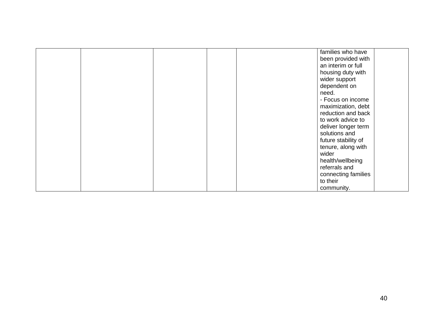|  |  | families who have   |
|--|--|---------------------|
|  |  | been provided with  |
|  |  | an interim or full  |
|  |  | housing duty with   |
|  |  | wider support       |
|  |  | dependent on        |
|  |  | need.               |
|  |  | - Focus on income   |
|  |  | maximization, debt  |
|  |  | reduction and back  |
|  |  | to work advice to   |
|  |  | deliver longer term |
|  |  | solutions and       |
|  |  | future stability of |
|  |  | tenure, along with  |
|  |  | wider               |
|  |  | health/wellbeing    |
|  |  | referrals and       |
|  |  | connecting families |
|  |  | to their            |
|  |  | community.          |
|  |  |                     |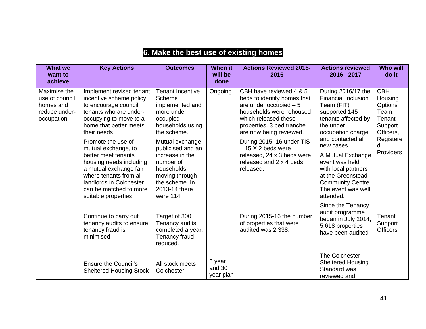| <b>What we</b><br>want to<br>achieve                                       | <b>Key Actions</b>                                                                                                                                                                                                          | <b>Outcomes</b>                                                                                                                                      | <b>When it</b><br>will be<br>done | <b>Actions Reviewed 2015-</b><br>2016                                                                                                                                                         | <b>Actions reviewed</b><br>2016 - 2017                                                                                                                        | <b>Who will</b><br>do it                                                 |
|----------------------------------------------------------------------------|-----------------------------------------------------------------------------------------------------------------------------------------------------------------------------------------------------------------------------|------------------------------------------------------------------------------------------------------------------------------------------------------|-----------------------------------|-----------------------------------------------------------------------------------------------------------------------------------------------------------------------------------------------|---------------------------------------------------------------------------------------------------------------------------------------------------------------|--------------------------------------------------------------------------|
| Maximise the<br>use of council<br>homes and<br>reduce under-<br>occupation | Implement revised tenant<br>incentive scheme policy<br>to encourage council<br>tenants who are under-<br>occupying to move to a<br>home that better meets<br>their needs                                                    | <b>Tenant Incentive</b><br>Scheme<br>implemented and<br>more under<br>occupied<br>households using<br>the scheme.                                    | Ongoing                           | CBH have reviewed 4 & 5<br>beds to identify homes that<br>are under occupied $-5$<br>households were rehoused<br>which released these<br>properties. 3 bed tranche<br>are now being reviewed. | During 2016/17 the<br><b>Financial Inclusion</b><br>Team (FIT)<br>supported 145<br>tenants affected by<br>the under<br>occupation charge<br>and contacted all | $CBH -$<br>Housing<br>Options<br>Team,<br>Tenant<br>Support<br>Officers, |
|                                                                            | Promote the use of<br>mutual exchange, to<br>better meet tenants<br>housing needs including<br>a mutual exchange fair<br>where tenants from all<br>landlords in Colchester<br>can be matched to more<br>suitable properties | Mutual exchange<br>publicised and an<br>increase in the<br>number of<br>households<br>moving through<br>the scheme. In<br>2013-14 there<br>were 114. |                                   | During 2015 -16 under TIS<br>$-15$ X 2 beds were<br>released, 24 x 3 beds were<br>released and 2 x 4 beds<br>released.                                                                        | new cases<br>A Mutual Exchange<br>event was held<br>with local partners<br>at the Greenstead<br><b>Community Centre.</b><br>The event was well<br>attended.   | Registere<br>d<br>Providers                                              |
|                                                                            | Continue to carry out<br>tenancy audits to ensure<br>tenancy fraud is<br>minimised                                                                                                                                          | Target of 300<br>Tenancy audits<br>completed a year.<br>Tenancy fraud<br>reduced.                                                                    |                                   | During 2015-16 the number<br>of properties that were<br>audited was 2,338.                                                                                                                    | Since the Tenancy<br>audit programme<br>began in July 2014,<br>5,618 properties<br>have been audited                                                          | Tenant<br>Support<br><b>Officers</b>                                     |
|                                                                            | <b>Ensure the Council's</b><br><b>Sheltered Housing Stock</b>                                                                                                                                                               | All stock meets<br>Colchester                                                                                                                        | 5 year<br>and 30<br>year plan     |                                                                                                                                                                                               | The Colchester<br><b>Sheltered Housing</b><br>Standard was<br>reviewed and                                                                                    |                                                                          |

## **6. Make the best use of existing homes**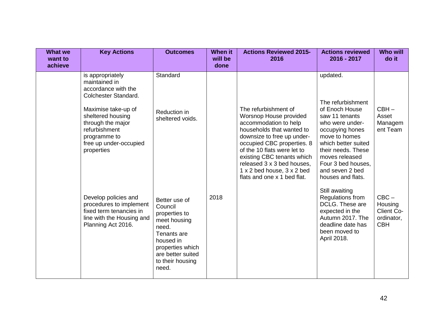| <b>What we</b><br>want to<br>achieve | <b>Key Actions</b>                                                                                                                                                                                                         | <b>Outcomes</b>                                                                                                                                                      | <b>When it</b><br>will be<br>done | <b>Actions Reviewed 2015-</b><br>2016                                                                                                                                                                                                                                                                                    | <b>Actions reviewed</b><br>2016 - 2017                                                                                                                                                                                                                | <b>Who will</b><br>do it                                     |
|--------------------------------------|----------------------------------------------------------------------------------------------------------------------------------------------------------------------------------------------------------------------------|----------------------------------------------------------------------------------------------------------------------------------------------------------------------|-----------------------------------|--------------------------------------------------------------------------------------------------------------------------------------------------------------------------------------------------------------------------------------------------------------------------------------------------------------------------|-------------------------------------------------------------------------------------------------------------------------------------------------------------------------------------------------------------------------------------------------------|--------------------------------------------------------------|
|                                      | is appropriately<br>maintained in<br>accordance with the<br>Colchester Standard.<br>Maximise take-up of<br>sheltered housing<br>through the major<br>refurbishment<br>programme to<br>free up under-occupied<br>properties | Standard<br>Reduction in<br>sheltered voids.                                                                                                                         |                                   | The refurbishment of<br>Worsnop House provided<br>accommodation to help<br>households that wanted to<br>downsize to free up under-<br>occupied CBC properties. 8<br>of the 10 flats were let to<br>existing CBC tenants which<br>released 3 x 3 bed houses,<br>1 x 2 bed house, 3 x 2 bed<br>flats and one x 1 bed flat. | updated.<br>The refurbishment<br>of Enoch House<br>saw 11 tenants<br>who were under-<br>occupying hones<br>move to homes<br>which better suited<br>their needs. These<br>moves released<br>Four 3 bed houses,<br>and seven 2 bed<br>houses and flats. | $CBH -$<br>Asset<br>Managem<br>ent Team                      |
|                                      | Develop policies and<br>procedures to implement<br>fixed term tenancies in<br>line with the Housing and<br>Planning Act 2016.                                                                                              | Better use of<br>Council<br>properties to<br>meet housing<br>need.<br>Tenants are<br>housed in<br>properties which<br>are better suited<br>to their housing<br>need. | 2018                              |                                                                                                                                                                                                                                                                                                                          | Still awaiting<br>Regulations from<br>DCLG. These are<br>expected in the<br>Autumn 2017. The<br>deadline date has<br>been moved to<br>April 2018.                                                                                                     | $CBC -$<br>Housing<br>Client Co-<br>ordinator,<br><b>CBH</b> |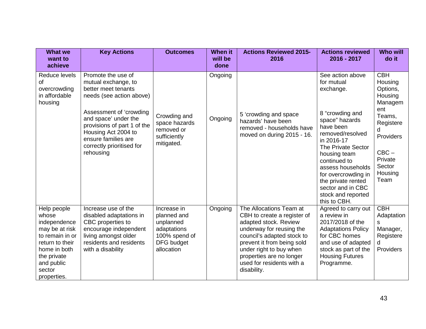| <b>What we</b><br>want to<br>achieve                                                                                                                               | <b>Key Actions</b>                                                                                                                                                                                                                                                     | <b>Outcomes</b>                                                                                            | <b>When it</b><br>will be<br>done | <b>Actions Reviewed 2015-</b><br>2016                                                                                                                                                                                                                                      | <b>Actions reviewed</b><br>2016 - 2017                                                                                                                                                                                                                                                                             | <b>Who will</b><br>do it                                                                                                                                   |
|--------------------------------------------------------------------------------------------------------------------------------------------------------------------|------------------------------------------------------------------------------------------------------------------------------------------------------------------------------------------------------------------------------------------------------------------------|------------------------------------------------------------------------------------------------------------|-----------------------------------|----------------------------------------------------------------------------------------------------------------------------------------------------------------------------------------------------------------------------------------------------------------------------|--------------------------------------------------------------------------------------------------------------------------------------------------------------------------------------------------------------------------------------------------------------------------------------------------------------------|------------------------------------------------------------------------------------------------------------------------------------------------------------|
| Reduce levels<br>οf<br>overcrowding<br>in affordable<br>housing                                                                                                    | Promote the use of<br>mutual exchange, to<br>better meet tenants<br>needs (see action above)<br>Assessment of 'crowding<br>and space' under the<br>provisions of part 1 of the<br>Housing Act 2004 to<br>ensure families are<br>correctly prioritised for<br>rehousing | Crowding and<br>space hazards<br>removed or<br>sufficiently<br>mitigated.                                  | Ongoing<br>Ongoing                | 5 'crowding and space<br>hazards' have been<br>removed - households have<br>moved on during 2015 - 16.                                                                                                                                                                     | See action above<br>for mutual<br>exchange.<br>8 "crowding and<br>space" hazards<br>have been<br>removed/resolved<br>in 2016-17<br>The Private Sector<br>housing team<br>continued to<br>assess households<br>for overcrowding in<br>the private rented<br>sector and in CBC<br>stock and reported<br>this to CBH. | <b>CBH</b><br>Housing<br>Options,<br>Housing<br>Managem<br>ent<br>Teams,<br>Registere<br>d<br>Providers<br>$CBC -$<br>Private<br>Sector<br>Housing<br>Team |
| Help people<br>whose<br>independence<br>may be at risk<br>to remain in or<br>return to their<br>home in both<br>the private<br>and public<br>sector<br>properties. | Increase use of the<br>disabled adaptations in<br>CBC properties to<br>encourage independent<br>living amongst older<br>residents and residents<br>with a disability                                                                                                   | Increase in<br>planned and<br>unplanned<br>adaptations<br>100% spend of<br><b>DFG</b> budget<br>allocation | Ongoing                           | The Allocations Team at<br>CBH to create a register of<br>adapted stock. Review<br>underway for reusing the<br>council's adapted stock to<br>prevent it from being sold<br>under right to buy when<br>properties are no longer<br>used for residents with a<br>disability. | Agreed to carry out<br>a review in<br>2017/2018 of the<br><b>Adaptations Policy</b><br>for CBC homes<br>and use of adapted<br>stock as part of the<br><b>Housing Futures</b><br>Programme.                                                                                                                         | <b>CBH</b><br>Adaptation<br>s<br>Manager,<br>Registere<br>d<br>Providers                                                                                   |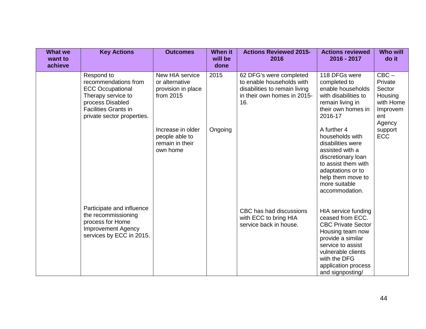| <b>What we</b><br>want to<br>achieve | <b>Key Actions</b>                                                                                                                                                   | <b>Outcomes</b>                                                      | When it<br>will be<br>done | <b>Actions Reviewed 2015-</b><br>2016                                                                                       | <b>Actions reviewed</b><br>2016 - 2017                                                                                                                                                                              | <b>Who will</b><br>do it                                                          |
|--------------------------------------|----------------------------------------------------------------------------------------------------------------------------------------------------------------------|----------------------------------------------------------------------|----------------------------|-----------------------------------------------------------------------------------------------------------------------------|---------------------------------------------------------------------------------------------------------------------------------------------------------------------------------------------------------------------|-----------------------------------------------------------------------------------|
|                                      | Respond to<br>recommendations from<br><b>ECC Occupational</b><br>Therapy service to<br>process Disabled<br><b>Facilities Grants in</b><br>private sector properties. | New HIA service<br>or alternative<br>provision in place<br>from 2015 | 2015                       | 62 DFG's were completed<br>to enable households with<br>disabilities to remain living<br>in their own homes in 2015-<br>16. | 118 DFGs were<br>completed to<br>enable households<br>with disabilities to<br>remain living in<br>their own homes in<br>2016-17                                                                                     | $CBC -$<br>Private<br>Sector<br>Housing<br>with Home<br>Improvem<br>ent<br>Agency |
|                                      |                                                                                                                                                                      | Increase in older<br>people able to<br>remain in their<br>own home   | Ongoing                    |                                                                                                                             | A further 4<br>households with<br>disabilities were<br>assisted with a<br>discretionary loan<br>to assist them with<br>adaptations or to<br>help them move to<br>more suitable<br>accommodation.                    | support<br><b>ECC</b>                                                             |
|                                      | Participate and influence<br>the recommissioning<br>process for Home<br><b>Improvement Agency</b><br>services by ECC in 2015.                                        |                                                                      |                            | CBC has had discussions<br>with ECC to bring HIA<br>service back in house.                                                  | HIA service funding<br>ceased from ECC.<br><b>CBC Private Sector</b><br>Housing team now<br>provide a similar<br>service to assist<br>vulnerable clients<br>with the DFG<br>application process<br>and signposting/ |                                                                                   |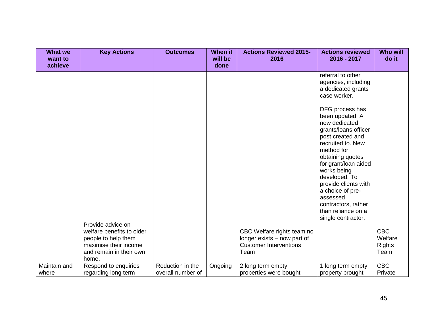| <b>What we</b><br>want to<br>achieve | <b>Key Actions</b>                                                                                            | <b>Outcomes</b>                       | <b>When it</b><br>will be<br>done | <b>Actions Reviewed 2015-</b><br>2016                                                              | <b>Actions reviewed</b><br>2016 - 2017                                                                                                                                                                                                                                                                                                    | <b>Who will</b><br>do it                       |
|--------------------------------------|---------------------------------------------------------------------------------------------------------------|---------------------------------------|-----------------------------------|----------------------------------------------------------------------------------------------------|-------------------------------------------------------------------------------------------------------------------------------------------------------------------------------------------------------------------------------------------------------------------------------------------------------------------------------------------|------------------------------------------------|
|                                      |                                                                                                               |                                       |                                   |                                                                                                    | referral to other<br>agencies, including<br>a dedicated grants<br>case worker.                                                                                                                                                                                                                                                            |                                                |
|                                      | Provide advice on                                                                                             |                                       |                                   |                                                                                                    | DFG process has<br>been updated. A<br>new dedicated<br>grants/loans officer<br>post created and<br>recruited to. New<br>method for<br>obtaining quotes<br>for grant/loan aided<br>works being<br>developed. To<br>provide clients with<br>a choice of pre-<br>assessed<br>contractors, rather<br>than reliance on a<br>single contractor. |                                                |
|                                      | welfare benefits to older<br>people to help them<br>maximise their income<br>and remain in their own<br>home. |                                       |                                   | CBC Welfare rights team no<br>longer exists – now part of<br><b>Customer Interventions</b><br>Team |                                                                                                                                                                                                                                                                                                                                           | <b>CBC</b><br>Welfare<br><b>Rights</b><br>Team |
| Maintain and<br>where                | Respond to enquiries<br>regarding long term                                                                   | Reduction in the<br>overall number of | Ongoing                           | 2 long term empty<br>properties were bought                                                        | 1 long term empty<br>property brought                                                                                                                                                                                                                                                                                                     | <b>CBC</b><br>Private                          |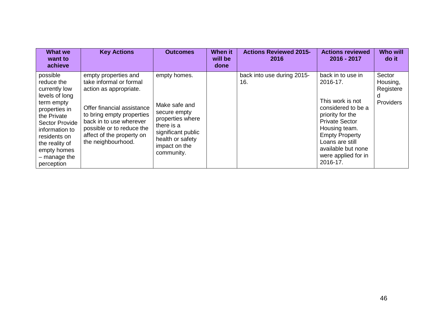| What we<br>want to<br>achieve                                                                                                                                                                                                | <b>Key Actions</b>                                                                                                                                                                                                                              | <b>Outcomes</b>                                                                                                                                          | <b>When it</b><br>will be<br>done | <b>Actions Reviewed 2015-</b><br>2016 | <b>Actions reviewed</b><br>2016 - 2017                                                                                                                                                                                                     | <b>Who will</b><br>do it                          |
|------------------------------------------------------------------------------------------------------------------------------------------------------------------------------------------------------------------------------|-------------------------------------------------------------------------------------------------------------------------------------------------------------------------------------------------------------------------------------------------|----------------------------------------------------------------------------------------------------------------------------------------------------------|-----------------------------------|---------------------------------------|--------------------------------------------------------------------------------------------------------------------------------------------------------------------------------------------------------------------------------------------|---------------------------------------------------|
| possible<br>reduce the<br>currently low<br>levels of long<br>term empty<br>properties in<br>the Private<br>Sector Provide<br>information to<br>residents on<br>the reality of<br>empty homes<br>$-$ manage the<br>perception | empty properties and<br>take informal or formal<br>action as appropriate.<br>Offer financial assistance<br>to bring empty properties<br>back in to use wherever<br>possible or to reduce the<br>affect of the property on<br>the neighbourhood. | empty homes.<br>Make safe and<br>secure empty<br>properties where<br>there is a<br>significant public<br>health or safety<br>impact on the<br>community. |                                   | back into use during 2015-<br>16.     | back in to use in<br>2016-17.<br>This work is not<br>considered to be a<br>priority for the<br><b>Private Sector</b><br>Housing team.<br><b>Empty Property</b><br>Loans are still<br>available but none<br>were applied for in<br>2016-17. | Sector<br>Housing,<br>Registere<br>d<br>Providers |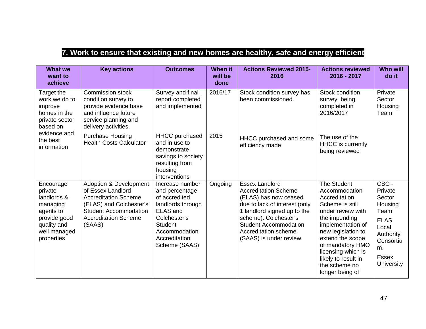# **7. Work to ensure that existing and new homes are healthy, safe and energy efficient**

| <b>What we</b><br>want to<br>achieve                                                                                                                                                                            | <b>Key actions</b>                                                                                                                                                                        | <b>Outcomes</b>                                                                                                                                                                 | <b>When it</b><br>will be<br>done | <b>Actions Reviewed 2015-</b><br>2016                                                                                                                                                                                                                     | <b>Actions reviewed</b><br>2016 - 2017                                                                                                                                                                                                                                            | <b>Who will</b><br>do it                                                                                                                   |
|-----------------------------------------------------------------------------------------------------------------------------------------------------------------------------------------------------------------|-------------------------------------------------------------------------------------------------------------------------------------------------------------------------------------------|---------------------------------------------------------------------------------------------------------------------------------------------------------------------------------|-----------------------------------|-----------------------------------------------------------------------------------------------------------------------------------------------------------------------------------------------------------------------------------------------------------|-----------------------------------------------------------------------------------------------------------------------------------------------------------------------------------------------------------------------------------------------------------------------------------|--------------------------------------------------------------------------------------------------------------------------------------------|
| Target the<br>work we do to<br>improve<br>homes in the<br>private sector<br>based on<br>evidence and<br>the best<br>information<br>Encourage<br>private<br>landlords &<br>managing<br>agents to<br>provide good | <b>Commission stock</b><br>condition survey to<br>provide evidence base<br>and influence future<br>service planning and<br>delivery activities.                                           | Survey and final<br>report completed<br>and implemented                                                                                                                         | 2016/17                           | Stock condition survey has<br>been commissioned.                                                                                                                                                                                                          | Stock condition<br>survey being<br>completed in<br>2016/2017                                                                                                                                                                                                                      | Private<br>Sector<br>Housing<br>Team                                                                                                       |
|                                                                                                                                                                                                                 | <b>Purchase Housing</b><br><b>Health Costs Calculator</b>                                                                                                                                 | <b>HHCC</b> purchased<br>and in use to<br>demonstrate<br>savings to society<br>resulting from<br>housing<br>interventions                                                       | 2015                              | HHCC purchased and some<br>efficiency made                                                                                                                                                                                                                | The use of the<br><b>HHCC</b> is currently<br>being reviewed                                                                                                                                                                                                                      |                                                                                                                                            |
| quality and<br>well managed<br>properties                                                                                                                                                                       | <b>Adoption &amp; Development</b><br>of Essex Landlord<br><b>Accreditation Scheme</b><br>(ELAS) and Colchester's<br><b>Student Accommodation</b><br><b>Accreditation Scheme</b><br>(SAAS) | Increase number<br>and percentage<br>of accredited<br>landlords through<br><b>ELAS and</b><br>Colchester's<br><b>Student</b><br>Accommodation<br>Accreditation<br>Scheme (SAAS) | Ongoing                           | <b>Essex Landlord</b><br><b>Accreditation Scheme</b><br>(ELAS) has now ceased<br>due to lack of interest (only<br>1 landlord signed up to the<br>scheme). Colchester's<br><b>Student Accommodation</b><br>Accreditation scheme<br>(SAAS) is under review. | <b>The Student</b><br>Accommodation<br>Accreditation<br>Scheme is still<br>under review with<br>the impending<br>implementation of<br>new legislation to<br>extend the scope<br>of mandatory HMO<br>licensing which is<br>likely to result in<br>the scheme no<br>longer being of | CBC -<br>Private<br>Sector<br>Housing<br>Team<br><b>ELAS</b><br>Local<br>Authority<br>Consortiu<br>m.<br><b>Essex</b><br><b>University</b> |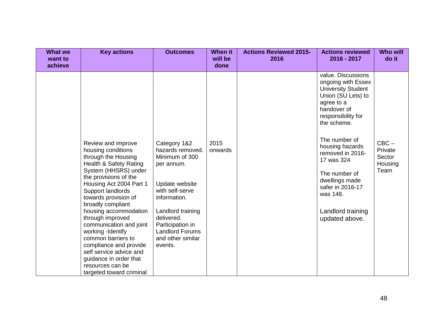| <b>What we</b><br>want to<br>achieve | <b>Key actions</b>                                                                                                                                                                                                                                                                                                                                                                                                                                                                        | <b>Outcomes</b>                                                                                                                                                                                                                        | <b>When it</b><br>will be<br>done | <b>Actions Reviewed 2015-</b><br>2016 | <b>Actions reviewed</b><br>2016 - 2017                                                                                                                                                                                                                                                                                                        | <b>Who will</b><br>do it                        |
|--------------------------------------|-------------------------------------------------------------------------------------------------------------------------------------------------------------------------------------------------------------------------------------------------------------------------------------------------------------------------------------------------------------------------------------------------------------------------------------------------------------------------------------------|----------------------------------------------------------------------------------------------------------------------------------------------------------------------------------------------------------------------------------------|-----------------------------------|---------------------------------------|-----------------------------------------------------------------------------------------------------------------------------------------------------------------------------------------------------------------------------------------------------------------------------------------------------------------------------------------------|-------------------------------------------------|
|                                      | Review and improve<br>housing conditions<br>through the Housing<br>Health & Safety Rating<br>System (HHSRS) under<br>the provisions of the<br>Housing Act 2004 Part 1<br>Support landlords<br>towards provision of<br>broadly compliant<br>housing accommodation<br>through improved<br>communication and joint<br>working -Identify<br>common barriers to<br>compliance and provide<br>self service advice and<br>guidance in order that<br>resources can be<br>targeted toward criminal | Category 1&2<br>hazards removed.<br>Minimum of 300<br>per annum.<br>Update website<br>with self-serve<br>information.<br>Landlord training<br>delivered.<br>Participation in<br><b>Landlord Forums</b><br>and other similar<br>events. | 2015<br>onwards                   |                                       | value. Discussions<br>ongoing with Essex<br><b>University Student</b><br>Union (SU Lets) to<br>agree to a<br>handover of<br>responsibility for<br>the scheme.<br>The number of<br>housing hazards<br>removed in 2016-<br>17 was 324<br>The number of<br>dwellings made<br>safer in 2016-17<br>was 148.<br>Landlord training<br>updated above. | $CBC -$<br>Private<br>Sector<br>Housing<br>Team |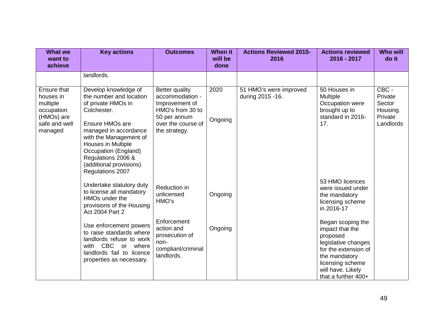| <b>What we</b><br>want to<br>achieve                                                         | <b>Key actions</b>                                                                                                                                                                                                                                                            | <b>Outcomes</b>                                                                                                                       | <b>When it</b><br>will be<br>done | <b>Actions Reviewed 2015-</b><br>2016       | <b>Actions reviewed</b><br>2016 - 2017                                                                                                                                           | <b>Who will</b><br>do it                                       |
|----------------------------------------------------------------------------------------------|-------------------------------------------------------------------------------------------------------------------------------------------------------------------------------------------------------------------------------------------------------------------------------|---------------------------------------------------------------------------------------------------------------------------------------|-----------------------------------|---------------------------------------------|----------------------------------------------------------------------------------------------------------------------------------------------------------------------------------|----------------------------------------------------------------|
|                                                                                              | landlords.                                                                                                                                                                                                                                                                    |                                                                                                                                       |                                   |                                             |                                                                                                                                                                                  |                                                                |
| Ensure that<br>houses in<br>multiple<br>occupation<br>(HMOs) are<br>safe and well<br>managed | Develop knowledge of<br>the number and location<br>of private HMOs in<br>Colchester.<br>Ensure HMOs are<br>managed in accordance<br>with the Management of<br>Houses in Multiple<br>Occupation (England)<br>Regulations 2006 &<br>(additional provisions)<br>Regulations 2007 | <b>Better quality</b><br>accommodation -<br>Improvement of<br>HMO's from 30 to<br>50 per annum<br>over the course of<br>the strategy. | 2020<br>Ongoing                   | 51 HMO's were improved<br>during 2015 - 16. | 50 Houses in<br>Multiple<br>Occupation were<br>brought up to<br>standard in 2016-<br>17.                                                                                         | CBC -<br>Private<br>Sector<br>Housing,<br>Private<br>Landlords |
|                                                                                              | Undertake statutory duty<br>to license all mandatory<br>HMO <sub>s</sub> under the<br>provisions of the Housing<br>Act 2004 Part 2                                                                                                                                            | Reduction in<br>unlicensed<br>HMO's                                                                                                   | Ongoing                           |                                             | 53 HMO licences<br>were issued under<br>the mandatory<br>licensing scheme<br>in 2016-17                                                                                          |                                                                |
|                                                                                              | Use enforcement powers<br>to raise standards where<br>landlords refuse to work<br>with CBC<br>or<br>where<br>landlords fail to licence<br>properties as necessary.                                                                                                            | Enforcement<br>action and<br>prosecution of<br>non-<br>compliant/criminal<br>landlords.                                               | Ongoing                           |                                             | Began scoping the<br>impact that the<br>proposed<br>legislative changes<br>for the extension of<br>the mandatory<br>licensing scheme<br>will have. Likely<br>that a further 400+ |                                                                |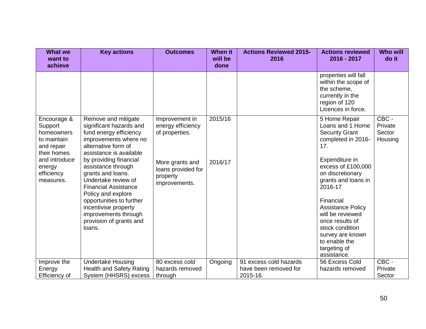| <b>What we</b><br>want to<br>achieve                                                                                                   | <b>Key actions</b>                                                                                                                                                                                                                                                                                                                                                                                                    | <b>Outcomes</b>                                                                                                             | <b>When it</b><br>will be<br>done | <b>Actions Reviewed 2015-</b><br>2016                       | <b>Actions reviewed</b><br>2016 - 2017                                                                                                                                                                                                                                                                                                                       | <b>Who will</b><br>do it              |
|----------------------------------------------------------------------------------------------------------------------------------------|-----------------------------------------------------------------------------------------------------------------------------------------------------------------------------------------------------------------------------------------------------------------------------------------------------------------------------------------------------------------------------------------------------------------------|-----------------------------------------------------------------------------------------------------------------------------|-----------------------------------|-------------------------------------------------------------|--------------------------------------------------------------------------------------------------------------------------------------------------------------------------------------------------------------------------------------------------------------------------------------------------------------------------------------------------------------|---------------------------------------|
|                                                                                                                                        |                                                                                                                                                                                                                                                                                                                                                                                                                       |                                                                                                                             |                                   |                                                             | properties will fall<br>within the scope of<br>the scheme,<br>currently in the<br>region of 120<br>Licences in force.                                                                                                                                                                                                                                        |                                       |
| Encourage &<br>Support<br>homeowners<br>to maintain<br>and repair<br>their homes<br>and introduce<br>energy<br>efficiency<br>measures. | Remove and mitigate<br>significant hazards and<br>fund energy efficiency<br>improvements where no<br>alternative form of<br>assistance is available<br>by providing financial<br>assistance through<br>grants and loans.<br>Undertake review of<br><b>Financial Assistance</b><br>Policy and explore<br>opportunities to further<br>incentivise property<br>improvements through<br>provision of grants and<br>loans. | Improvement in<br>energy efficiency<br>of properties.<br>More grants and<br>loans provided for<br>property<br>improvements. | 2015/16<br>2016/17                |                                                             | 5 Home Repair<br>Loans and 1 Home<br><b>Security Grant</b><br>completed in 2016-<br>17.<br>Expenditure in<br>excess of £100,000<br>on discretionary<br>grants and loans in<br>2016-17<br>Financial<br><b>Assistance Policy</b><br>will be reviewed<br>once results of<br>stock condition<br>survey are known<br>to enable the<br>targeting of<br>assistance. | CBC -<br>Private<br>Sector<br>Housing |
| Improve the<br>Energy<br>Efficiency of                                                                                                 | <b>Undertake Housing</b><br><b>Health and Safety Rating</b><br>System (HHSRS) excess                                                                                                                                                                                                                                                                                                                                  | 80 excess cold<br>hazards removed                                                                                           | Ongoing                           | 91 excess cold hazards<br>have been removed for<br>2015-16. | 56 Excess Cold<br>hazards removed                                                                                                                                                                                                                                                                                                                            | CBC -<br>Private<br>Sector            |
|                                                                                                                                        |                                                                                                                                                                                                                                                                                                                                                                                                                       | through                                                                                                                     |                                   |                                                             |                                                                                                                                                                                                                                                                                                                                                              |                                       |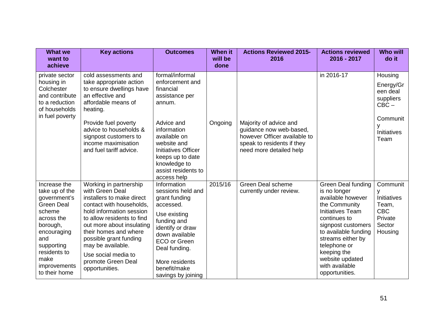| <b>What we</b><br>want to<br>achieve                                                                                                                                                                 | <b>Key actions</b>                                                                                                                                                                                                                                                                                                               | <b>Outcomes</b>                                                                                                                                                                                                              | <b>When it</b><br>will be<br>done | <b>Actions Reviewed 2015-</b><br>2016                                                                                                      | <b>Actions reviewed</b><br>2016 - 2017                                                                                                                                                                                                                                       | <b>Who will</b><br>do it                                                            |
|------------------------------------------------------------------------------------------------------------------------------------------------------------------------------------------------------|----------------------------------------------------------------------------------------------------------------------------------------------------------------------------------------------------------------------------------------------------------------------------------------------------------------------------------|------------------------------------------------------------------------------------------------------------------------------------------------------------------------------------------------------------------------------|-----------------------------------|--------------------------------------------------------------------------------------------------------------------------------------------|------------------------------------------------------------------------------------------------------------------------------------------------------------------------------------------------------------------------------------------------------------------------------|-------------------------------------------------------------------------------------|
| private sector<br>housing in<br>Colchester<br>and contribute<br>to a reduction<br>of households<br>in fuel poverty                                                                                   | cold assessments and<br>take appropriate action<br>to ensure dwellings have<br>an effective and<br>affordable means of<br>heating.                                                                                                                                                                                               | formal/informal<br>enforcement and<br>financial<br>assistance per<br>annum.                                                                                                                                                  |                                   |                                                                                                                                            | in 2016-17                                                                                                                                                                                                                                                                   | Housing<br>Energy/Gr<br>een deal<br>suppliers<br>$CBC -$                            |
|                                                                                                                                                                                                      | Provide fuel poverty<br>advice to households &<br>signpost customers to<br>income maximisation<br>and fuel tariff advice.                                                                                                                                                                                                        | Advice and<br>information<br>available on<br>website and<br><b>Initiatives Officer</b><br>keeps up to date<br>knowledge to<br>assist residents to<br>access help                                                             | Ongoing                           | Majority of advice and<br>guidance now web-based,<br>however Officer available to<br>speak to residents if they<br>need more detailed help |                                                                                                                                                                                                                                                                              | Communit<br>٧<br><b>Initiatives</b><br>Team                                         |
| Increase the<br>take up of the<br>government's<br><b>Green Deal</b><br>scheme<br>across the<br>borough,<br>encouraging<br>and<br>supporting<br>residents to<br>make<br>improvements<br>to their home | Working in partnership<br>with Green Deal<br>installers to make direct<br>contact with households,<br>hold information session<br>to allow residents to find<br>out more about insulating<br>their homes and where<br>possible grant funding<br>may be available.<br>Use social media to<br>promote Green Deal<br>opportunities. | Information<br>sessions held and<br>grant funding<br>accessed.<br>Use existing<br>funding and<br>identify or draw<br>down available<br>ECO or Green<br>Deal funding.<br>More residents<br>benefit/make<br>savings by joining | 2015/16                           | <b>Green Deal scheme</b><br>currently under review.                                                                                        | Green Deal funding<br>is no longer<br>available however<br>the Community<br><b>Initiatives Team</b><br>continues to<br>signpost customers<br>to available funding<br>streams either by<br>telephone or<br>keeping the<br>website updated<br>with available<br>opportunities. | Communit<br>v<br>Initiatives<br>Team,<br><b>CBC</b><br>Private<br>Sector<br>Housing |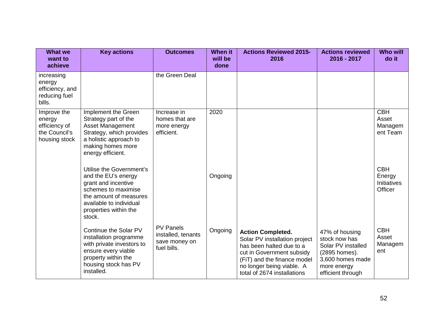| <b>What we</b><br>want to<br>achieve                                     | <b>Key actions</b>                                                                                                                                                                    | <b>Outcomes</b>                                                        | <b>When it</b><br>will be<br>done | <b>Actions Reviewed 2015-</b><br>2016                                                                                                                                                                         | <b>Actions reviewed</b><br>2016 - 2017                                                                                         | <b>Who will</b><br>do it                              |
|--------------------------------------------------------------------------|---------------------------------------------------------------------------------------------------------------------------------------------------------------------------------------|------------------------------------------------------------------------|-----------------------------------|---------------------------------------------------------------------------------------------------------------------------------------------------------------------------------------------------------------|--------------------------------------------------------------------------------------------------------------------------------|-------------------------------------------------------|
| increasing<br>energy<br>efficiency, and<br>reducing fuel<br>bills.       |                                                                                                                                                                                       | the Green Deal                                                         |                                   |                                                                                                                                                                                                               |                                                                                                                                |                                                       |
| Improve the<br>energy<br>efficiency of<br>the Council's<br>housing stock | Implement the Green<br>Strategy part of the<br><b>Asset Management</b><br>Strategy, which provides<br>a holistic approach to<br>making homes more<br>energy efficient.                | Increase in<br>homes that are<br>more energy<br>efficient.             | 2020                              |                                                                                                                                                                                                               |                                                                                                                                | <b>CBH</b><br>Asset<br>Managem<br>ent Team            |
|                                                                          | Utilise the Government's<br>and the EU's energy<br>grant and incentive<br>schemes to maximise<br>the amount of measures<br>available to individual<br>properties within the<br>stock. |                                                                        | Ongoing                           |                                                                                                                                                                                                               |                                                                                                                                | <b>CBH</b><br>Energy<br><b>Initiatives</b><br>Officer |
|                                                                          | Continue the Solar PV<br>installation programme<br>with private investors to<br>ensure every viable<br>property within the<br>housing stock has PV<br>installed.                      | <b>PV Panels</b><br>installed, tenants<br>save money on<br>fuel bills. | Ongoing                           | <b>Action Completed.</b><br>Solar PV installation project<br>has been halted due to a<br>cut in Government subsidy<br>(FiT) and the finance model<br>no longer being viable. A<br>total of 2674 installations | 47% of housing<br>stock now has<br>Solar PV installed<br>(2895 homes).<br>3,600 homes made<br>more energy<br>efficient through | <b>CBH</b><br>Asset<br>Managem<br>ent                 |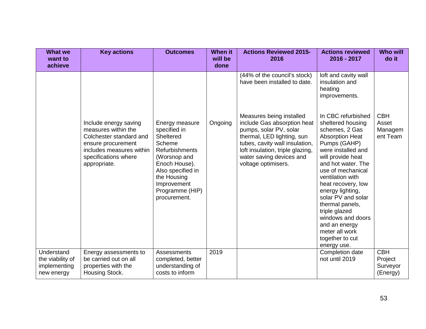| <b>What we</b><br>want to<br>achieve                         | <b>Key actions</b>                                                                                                                                                | <b>Outcomes</b>                                                                                                                                                                                | <b>When it</b><br>will be<br>done | <b>Actions Reviewed 2015-</b><br>2016                                                                                                                                                                                                    | <b>Actions reviewed</b><br>2016 - 2017                                                                                                                                                                                                                                                                                                                                                                      | <b>Who will</b><br>do it                      |
|--------------------------------------------------------------|-------------------------------------------------------------------------------------------------------------------------------------------------------------------|------------------------------------------------------------------------------------------------------------------------------------------------------------------------------------------------|-----------------------------------|------------------------------------------------------------------------------------------------------------------------------------------------------------------------------------------------------------------------------------------|-------------------------------------------------------------------------------------------------------------------------------------------------------------------------------------------------------------------------------------------------------------------------------------------------------------------------------------------------------------------------------------------------------------|-----------------------------------------------|
|                                                              |                                                                                                                                                                   |                                                                                                                                                                                                |                                   | (44% of the council's stock)<br>have been installed to date.                                                                                                                                                                             | loft and cavity wall<br>insulation and<br>heating<br>improvements.                                                                                                                                                                                                                                                                                                                                          |                                               |
|                                                              | Include energy saving<br>measures within the<br>Colchester standard and<br>ensure procurement<br>includes measures within<br>specifications where<br>appropriate. | Energy measure<br>specified in<br>Sheltered<br>Scheme<br>Refurbishments<br>(Worsnop and<br>Enoch House).<br>Also specified in<br>the Housing<br>Improvement<br>Programme (HIP)<br>procurement. | Ongoing                           | Measures being installed<br>include Gas absorption heat<br>pumps, solar PV, solar<br>thermal, LED lighting, sun<br>tubes, cavity wall insulation,<br>loft insulation, triple glazing,<br>water saving devices and<br>voltage optimisers. | In CBC refurbished<br>sheltered housing<br>schemes, 2 Gas<br><b>Absorption Heat</b><br>Pumps (GAHP)<br>were installed and<br>will provide heat<br>and hot water. The<br>use of mechanical<br>ventilation with<br>heat recovery, low<br>energy lighting,<br>solar PV and solar<br>thermal panels,<br>triple glazed<br>windows and doors<br>and an energy<br>meter all work<br>together to cut<br>energy use. | <b>CBH</b><br>Asset<br>Managem<br>ent Team    |
| Understand<br>the viability of<br>implementing<br>new energy | Energy assessments to<br>be carried out on all<br>properties with the<br>Housing Stock.                                                                           | <b>Assessments</b><br>completed, better<br>understanding of<br>costs to inform                                                                                                                 | 2019                              |                                                                                                                                                                                                                                          | Completion date<br>not until 2019                                                                                                                                                                                                                                                                                                                                                                           | <b>CBH</b><br>Project<br>Surveyor<br>(Energy) |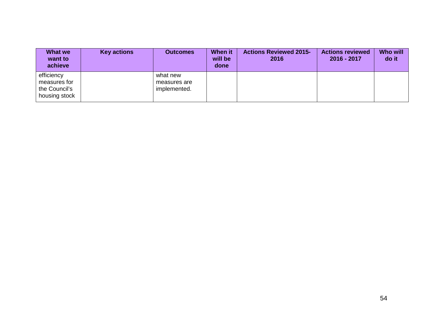| <b>What we</b><br>want to<br>achieve                         | <b>Key actions</b> | <b>Outcomes</b>                          | <b>When it</b><br>will be<br>done | <b>Actions Reviewed 2015-</b><br>2016 | <b>Actions reviewed</b><br>2016 - 2017 | <b>Who will</b><br>do it |
|--------------------------------------------------------------|--------------------|------------------------------------------|-----------------------------------|---------------------------------------|----------------------------------------|--------------------------|
| efficiency<br>measures for<br>the Council's<br>housing stock |                    | what new<br>measures are<br>implemented. |                                   |                                       |                                        |                          |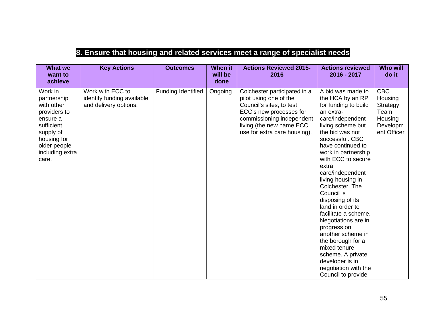## **8. Ensure that housing and related services meet a range of specialist needs**

| <b>What we</b><br>want to<br>achieve                                                                                                                   | <b>Key Actions</b>                                                      | <b>Outcomes</b>    | <b>When it</b><br>will be<br>done | <b>Actions Reviewed 2015-</b><br>2016                                                                                                                                                                  | <b>Actions reviewed</b><br>2016 - 2017                                                                                                                                                                                                                                                                                                                                                                                                                                                                                                                               | <b>Who will</b><br>do it                                                         |
|--------------------------------------------------------------------------------------------------------------------------------------------------------|-------------------------------------------------------------------------|--------------------|-----------------------------------|--------------------------------------------------------------------------------------------------------------------------------------------------------------------------------------------------------|----------------------------------------------------------------------------------------------------------------------------------------------------------------------------------------------------------------------------------------------------------------------------------------------------------------------------------------------------------------------------------------------------------------------------------------------------------------------------------------------------------------------------------------------------------------------|----------------------------------------------------------------------------------|
| Work in<br>partnership<br>with other<br>providers to<br>ensure a<br>sufficient<br>supply of<br>housing for<br>older people<br>including extra<br>care. | Work with ECC to<br>identify funding available<br>and delivery options. | Funding Identified | Ongoing                           | Colchester participated in a<br>pilot using one of the<br>Council's sites, to test<br>ECC's new processes for<br>commissioning independent<br>living (the new name ECC<br>use for extra care housing). | A bid was made to<br>the HCA by an RP<br>for funding to build<br>an extra-<br>care/independent<br>living scheme but<br>the bid was not<br>successful. CBC<br>have continued to<br>work in partnership<br>with ECC to secure<br>extra<br>care/independent<br>living housing in<br>Colchester. The<br>Council is<br>disposing of its<br>land in order to<br>facilitate a scheme.<br>Negotiations are in<br>progress on<br>another scheme in<br>the borough for a<br>mixed tenure<br>scheme. A private<br>developer is in<br>negotiation with the<br>Council to provide | <b>CBC</b><br>Housing<br>Strategy<br>Team,<br>Housing<br>Developm<br>ent Officer |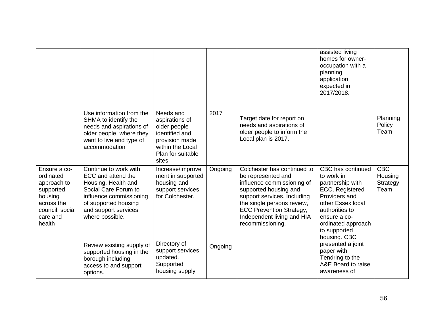|                                                                                                                         |                                                                                                                                                                                          |                                                                                                                                   |         |                                                                                                                                                                                                                                                            | assisted living<br>homes for owner-<br>occupation with a<br>planning<br>application<br>expected in<br>2017/2018.                                                                                     |                                           |
|-------------------------------------------------------------------------------------------------------------------------|------------------------------------------------------------------------------------------------------------------------------------------------------------------------------------------|-----------------------------------------------------------------------------------------------------------------------------------|---------|------------------------------------------------------------------------------------------------------------------------------------------------------------------------------------------------------------------------------------------------------------|------------------------------------------------------------------------------------------------------------------------------------------------------------------------------------------------------|-------------------------------------------|
|                                                                                                                         | Use information from the<br>SHMA to identify the<br>needs and aspirations of<br>older people, where they<br>want to live and type of<br>accommodation                                    | Needs and<br>aspirations of<br>older people<br>identified and<br>provision made<br>within the Local<br>Plan for suitable<br>sites | 2017    | Target date for report on<br>needs and aspirations of<br>older people to inform the<br>Local plan is 2017.                                                                                                                                                 |                                                                                                                                                                                                      | Planning<br>Policy<br>Team                |
| Ensure a co-<br>ordinated<br>approach to<br>supported<br>housing<br>across the<br>council, social<br>care and<br>health | Continue to work with<br>ECC and attend the<br>Housing, Health and<br>Social Care Forum to<br>influence commissioning<br>of supported housing<br>and support services<br>where possible. | Increase/improve<br>ment in supported<br>housing and<br>support services<br>for Colchester.                                       | Ongoing | Colchester has continued to<br>be represented and<br>influence commissioning of<br>supported housing and<br>support services. Including<br>the single persons review,<br><b>ECC Prevention Strategy,</b><br>Independent living and HIA<br>recommissioning. | CBC has continued<br>to work in<br>partnership with<br>ECC, Registered<br>Providers and<br>other Essex local<br>authorities to<br>ensure a co-<br>ordinated approach<br>to supported<br>housing. CBC | <b>CBC</b><br>Housing<br>Strategy<br>Team |
|                                                                                                                         | Review existing supply of<br>supported housing in the<br>borough including<br>access to and support<br>options.                                                                          | Directory of<br>support services<br>updated.<br>Supported<br>housing supply                                                       | Ongoing |                                                                                                                                                                                                                                                            | presented a joint<br>paper with<br>Tendring to the<br>A&E Board to raise<br>awareness of                                                                                                             |                                           |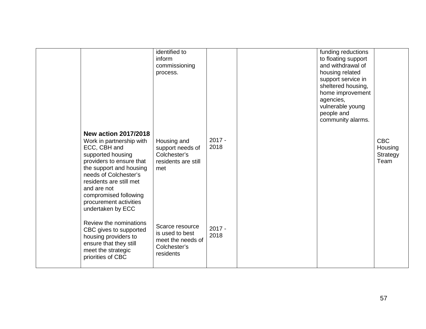|                                                                                                                                                                                                                                                                                                | identified to<br>inform<br>commissioning<br>process.                                 |                  | funding reductions<br>to floating support<br>and withdrawal of<br>housing related<br>support service in<br>sheltered housing,<br>home improvement<br>agencies,<br>vulnerable young<br>people and<br>community alarms. |                                           |
|------------------------------------------------------------------------------------------------------------------------------------------------------------------------------------------------------------------------------------------------------------------------------------------------|--------------------------------------------------------------------------------------|------------------|-----------------------------------------------------------------------------------------------------------------------------------------------------------------------------------------------------------------------|-------------------------------------------|
| <b>New action 2017/2018</b><br>Work in partnership with<br>ECC, CBH and<br>supported housing<br>providers to ensure that<br>the support and housing<br>needs of Colchester's<br>residents are still met<br>and are not<br>compromised following<br>procurement activities<br>undertaken by ECC | Housing and<br>support needs of<br>Colchester's<br>residents are still<br>met        | $2017 -$<br>2018 |                                                                                                                                                                                                                       | <b>CBC</b><br>Housing<br>Strategy<br>Team |
| Review the nominations<br>CBC gives to supported<br>housing providers to<br>ensure that they still<br>meet the strategic<br>priorities of CBC                                                                                                                                                  | Scarce resource<br>is used to best<br>meet the needs of<br>Colchester's<br>residents | $2017 -$<br>2018 |                                                                                                                                                                                                                       |                                           |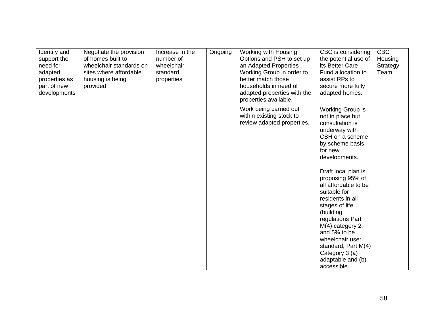| Identify and<br>support the<br>need for<br>adapted<br>properties as<br>part of new<br>developments | Negotiate the provision<br>of homes built to<br>wheelchair standards on<br>sites where affordable<br>housing is being<br>provided | Increase in the<br>number of<br>wheelchair<br>standard<br>properties | Ongoing | Working with Housing<br>Options and PSH to set up<br>an Adapted Properties<br>Working Group in order to<br>better match those<br>households in need of<br>adapted properties with the<br>properties available. | CBC is considering<br>the potential use of<br>its Better Care<br>Fund allocation to<br>assist RPs to<br>secure more fully<br>adapted homes.                                                                                                                                                                                                                 | <b>CBC</b><br>Housing<br>Strategy<br>Team |
|----------------------------------------------------------------------------------------------------|-----------------------------------------------------------------------------------------------------------------------------------|----------------------------------------------------------------------|---------|----------------------------------------------------------------------------------------------------------------------------------------------------------------------------------------------------------------|-------------------------------------------------------------------------------------------------------------------------------------------------------------------------------------------------------------------------------------------------------------------------------------------------------------------------------------------------------------|-------------------------------------------|
|                                                                                                    |                                                                                                                                   |                                                                      |         | Work being carried out<br>within existing stock to<br>review adapted properties.                                                                                                                               | Working Group is<br>not in place but<br>consultation is<br>underway with<br>CBH on a scheme<br>by scheme basis<br>for new<br>developments.<br>Draft local plan is<br>proposing 95% of<br>all affordable to be<br>suitable for<br>residents in all<br>stages of life<br>(building<br>regulations Part<br>M(4) category 2,<br>and 5% to be<br>wheelchair user |                                           |
|                                                                                                    |                                                                                                                                   |                                                                      |         |                                                                                                                                                                                                                | standard, Part M(4)<br>Category 3 (a)<br>adaptable and (b)<br>accessible.                                                                                                                                                                                                                                                                                   |                                           |